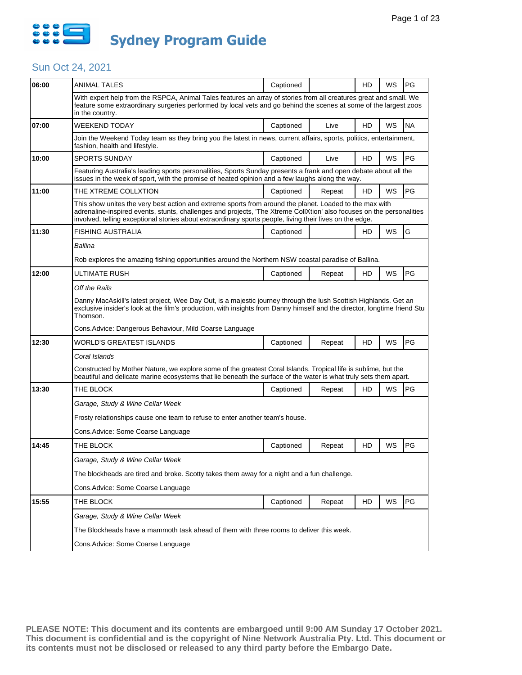

| 06:00 | <b>ANIMAL TALES</b>                                                                                                                                                                                                                                                                                                                          | Captioned                                                                                                                                                                                                                           |        | HD | WS | PG        |  |  |  |
|-------|----------------------------------------------------------------------------------------------------------------------------------------------------------------------------------------------------------------------------------------------------------------------------------------------------------------------------------------------|-------------------------------------------------------------------------------------------------------------------------------------------------------------------------------------------------------------------------------------|--------|----|----|-----------|--|--|--|
|       | With expert help from the RSPCA, Animal Tales features an array of stories from all creatures great and small. We<br>feature some extraordinary surgeries performed by local vets and go behind the scenes at some of the largest zoos<br>in the country.                                                                                    |                                                                                                                                                                                                                                     |        |    |    |           |  |  |  |
| 07:00 | WEEKEND TODAY                                                                                                                                                                                                                                                                                                                                | Captioned                                                                                                                                                                                                                           | Live   | HD | WS | <b>NA</b> |  |  |  |
|       | Join the Weekend Today team as they bring you the latest in news, current affairs, sports, politics, entertainment,<br>fashion, health and lifestyle.                                                                                                                                                                                        |                                                                                                                                                                                                                                     |        |    |    |           |  |  |  |
| 10:00 | <b>SPORTS SUNDAY</b>                                                                                                                                                                                                                                                                                                                         | Captioned                                                                                                                                                                                                                           | Live   | HD | WS | PG        |  |  |  |
|       | Featuring Australia's leading sports personalities, Sports Sunday presents a frank and open debate about all the<br>issues in the week of sport, with the promise of heated opinion and a few laughs along the way.                                                                                                                          |                                                                                                                                                                                                                                     |        |    |    |           |  |  |  |
| 11:00 | THE XTREME COLLXTION                                                                                                                                                                                                                                                                                                                         | Captioned                                                                                                                                                                                                                           | Repeat | HD | WS | PG        |  |  |  |
|       | This show unites the very best action and extreme sports from around the planet. Loaded to the max with<br>adrenaline-inspired events, stunts, challenges and projects, 'The Xtreme CollXtion' also focuses on the personalities<br>involved, telling exceptional stories about extraordinary sports people, living their lives on the edge. |                                                                                                                                                                                                                                     |        |    |    |           |  |  |  |
| 11:30 | FISHING AUSTRALIA                                                                                                                                                                                                                                                                                                                            | Captioned                                                                                                                                                                                                                           |        | HD | WS | G         |  |  |  |
|       | Ballina                                                                                                                                                                                                                                                                                                                                      |                                                                                                                                                                                                                                     |        |    |    |           |  |  |  |
|       | Rob explores the amazing fishing opportunities around the Northern NSW coastal paradise of Ballina.                                                                                                                                                                                                                                          |                                                                                                                                                                                                                                     |        |    |    |           |  |  |  |
| 12:00 | ULTIMATE RUSH                                                                                                                                                                                                                                                                                                                                | Captioned                                                                                                                                                                                                                           | Repeat | HD | WS | PG        |  |  |  |
|       | Off the Rails                                                                                                                                                                                                                                                                                                                                |                                                                                                                                                                                                                                     |        |    |    |           |  |  |  |
|       | Danny MacAskill's latest project, Wee Day Out, is a majestic journey through the lush Scottish Highlands. Get an<br>exclusive insider's look at the film's production, with insights from Danny himself and the director, longtime friend Stu<br>Thomson.                                                                                    |                                                                                                                                                                                                                                     |        |    |    |           |  |  |  |
|       | Cons.Advice: Dangerous Behaviour, Mild Coarse Language                                                                                                                                                                                                                                                                                       |                                                                                                                                                                                                                                     |        |    |    |           |  |  |  |
| 12:30 | WORLD'S GREATEST ISLANDS                                                                                                                                                                                                                                                                                                                     | Captioned                                                                                                                                                                                                                           | Repeat | HD | WS | PG        |  |  |  |
|       | Coral Islands                                                                                                                                                                                                                                                                                                                                |                                                                                                                                                                                                                                     |        |    |    |           |  |  |  |
|       |                                                                                                                                                                                                                                                                                                                                              | Constructed by Mother Nature, we explore some of the greatest Coral Islands. Tropical life is sublime, but the<br>beautiful and delicate marine ecosystems that lie beneath the surface of the water is what truly sets them apart. |        |    |    |           |  |  |  |
| 13:30 | THE BLOCK                                                                                                                                                                                                                                                                                                                                    | Captioned                                                                                                                                                                                                                           | Repeat | HD | WS | PG        |  |  |  |
|       | Garage, Study & Wine Cellar Week                                                                                                                                                                                                                                                                                                             |                                                                                                                                                                                                                                     |        |    |    |           |  |  |  |
|       | Frosty relationships cause one team to refuse to enter another team's house.                                                                                                                                                                                                                                                                 |                                                                                                                                                                                                                                     |        |    |    |           |  |  |  |
|       | Cons.Advice: Some Coarse Language                                                                                                                                                                                                                                                                                                            |                                                                                                                                                                                                                                     |        |    |    |           |  |  |  |
| 14:45 | THE BLOCK                                                                                                                                                                                                                                                                                                                                    | Captioned                                                                                                                                                                                                                           | Repeat | HD | WS | PG        |  |  |  |
|       | Garage, Study & Wine Cellar Week                                                                                                                                                                                                                                                                                                             |                                                                                                                                                                                                                                     |        |    |    |           |  |  |  |
|       | The blockheads are tired and broke. Scotty takes them away for a night and a fun challenge.                                                                                                                                                                                                                                                  |                                                                                                                                                                                                                                     |        |    |    |           |  |  |  |
|       | Cons.Advice: Some Coarse Language                                                                                                                                                                                                                                                                                                            |                                                                                                                                                                                                                                     |        |    |    |           |  |  |  |
| 15:55 | THE BLOCK                                                                                                                                                                                                                                                                                                                                    | Captioned                                                                                                                                                                                                                           | Repeat | HD | WS | PG        |  |  |  |
|       | Garage, Study & Wine Cellar Week                                                                                                                                                                                                                                                                                                             |                                                                                                                                                                                                                                     |        |    |    |           |  |  |  |
|       | The Blockheads have a mammoth task ahead of them with three rooms to deliver this week.                                                                                                                                                                                                                                                      |                                                                                                                                                                                                                                     |        |    |    |           |  |  |  |
|       | Cons.Advice: Some Coarse Language                                                                                                                                                                                                                                                                                                            |                                                                                                                                                                                                                                     |        |    |    |           |  |  |  |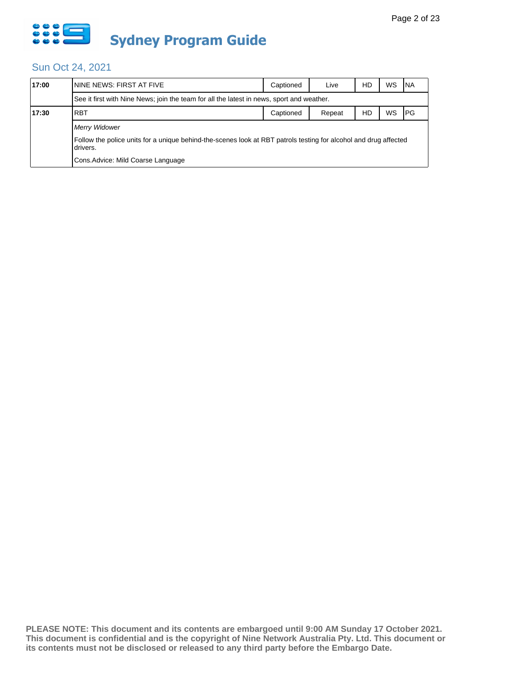

| 17:00 | ININE NEWS: FIRST AT FIVE                                                                                                    | Captioned | Live   | HD | WS | <b>NA</b> |  |
|-------|------------------------------------------------------------------------------------------------------------------------------|-----------|--------|----|----|-----------|--|
|       | See it first with Nine News; join the team for all the latest in news, sport and weather.                                    |           |        |    |    |           |  |
| 17:30 | <b>RBT</b>                                                                                                                   | Captioned | Repeat | HD | WS | PG        |  |
|       | Merry Widower                                                                                                                |           |        |    |    |           |  |
|       | Follow the police units for a unique behind-the-scenes look at RBT patrols testing for alcohol and drug affected<br>drivers. |           |        |    |    |           |  |
|       | Cons. Advice: Mild Coarse Language                                                                                           |           |        |    |    |           |  |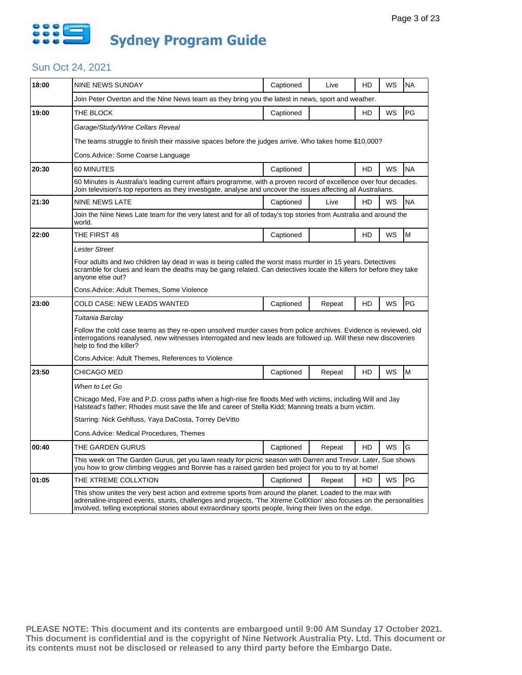

| 18:00 | NINE NEWS SUNDAY                                                                                                                                                                                                                                                                                                                             | Captioned | Live   | HD | WS        | <b>NA</b> |  |  |
|-------|----------------------------------------------------------------------------------------------------------------------------------------------------------------------------------------------------------------------------------------------------------------------------------------------------------------------------------------------|-----------|--------|----|-----------|-----------|--|--|
|       | Join Peter Overton and the Nine News team as they bring you the latest in news, sport and weather.                                                                                                                                                                                                                                           |           |        |    |           |           |  |  |
| 19:00 | THE BLOCK                                                                                                                                                                                                                                                                                                                                    | Captioned |        | HD | WS        | PG        |  |  |
|       | Garage/Study/Wine Cellars Reveal                                                                                                                                                                                                                                                                                                             |           |        |    |           |           |  |  |
|       | The teams struggle to finish their massive spaces before the judges arrive. Who takes home \$10,000?                                                                                                                                                                                                                                         |           |        |    |           |           |  |  |
|       | Cons.Advice: Some Coarse Language                                                                                                                                                                                                                                                                                                            |           |        |    |           |           |  |  |
| 20:30 | 60 MINUTES                                                                                                                                                                                                                                                                                                                                   | Captioned |        | HD | WS        | <b>NA</b> |  |  |
|       | 60 Minutes is Australia's leading current affairs programme, with a proven record of excellence over four decades.<br>Join television's top reporters as they investigate, analyse and uncover the issues affecting all Australians.                                                                                                         |           |        |    |           |           |  |  |
| 21:30 | <b>NINE NEWS LATE</b>                                                                                                                                                                                                                                                                                                                        | Captioned | Live   | HD | WS        | <b>NA</b> |  |  |
|       | Join the Nine News Late team for the very latest and for all of today's top stories from Australia and around the<br>world.                                                                                                                                                                                                                  |           |        |    |           |           |  |  |
| 22:00 | THE FIRST 48                                                                                                                                                                                                                                                                                                                                 | Captioned |        | HD | WS        | M         |  |  |
|       | Lester Street                                                                                                                                                                                                                                                                                                                                |           |        |    |           |           |  |  |
|       | Four adults and two children lay dead in was is being called the worst mass murder in 15 years. Detectives<br>scramble for clues and learn the deaths may be gang related. Can detectives locate the killers for before they take<br>anyone else out?                                                                                        |           |        |    |           |           |  |  |
|       | Cons.Advice: Adult Themes, Some Violence                                                                                                                                                                                                                                                                                                     |           |        |    |           |           |  |  |
| 23:00 | COLD CASE: NEW LEADS WANTED                                                                                                                                                                                                                                                                                                                  | Captioned | Repeat | HD | WS        | PG        |  |  |
|       | Tuitania Barclay                                                                                                                                                                                                                                                                                                                             |           |        |    |           |           |  |  |
|       | Follow the cold case teams as they re-open unsolved murder cases from police archives. Evidence is reviewed, old<br>interrogations reanalysed, new witnesses interrogated and new leads are followed up. Will these new discoveries<br>help to find the killer?                                                                              |           |        |    |           |           |  |  |
|       | Cons.Advice: Adult Themes, References to Violence                                                                                                                                                                                                                                                                                            |           |        |    |           |           |  |  |
| 23:50 | CHICAGO MED                                                                                                                                                                                                                                                                                                                                  | Captioned | Repeat | HD | WS        | M         |  |  |
|       | When to Let Go                                                                                                                                                                                                                                                                                                                               |           |        |    |           |           |  |  |
|       | Chicago Med, Fire and P.D. cross paths when a high-rise fire floods Med with victims, including Will and Jay<br>Halstead's father; Rhodes must save the life and career of Stella Kidd; Manning treats a burn victim.                                                                                                                        |           |        |    |           |           |  |  |
|       | Starring: Nick Gehlfuss, Yaya DaCosta, Torrey DeVitto                                                                                                                                                                                                                                                                                        |           |        |    |           |           |  |  |
|       | Cons.Advice: Medical Procedures, Themes                                                                                                                                                                                                                                                                                                      |           |        |    |           |           |  |  |
| 00:40 | THE GARDEN GURUS                                                                                                                                                                                                                                                                                                                             | Captioned | Repeat | HD | <b>WS</b> | G         |  |  |
|       | This week on The Garden Gurus, get you lawn ready for picnic season with Darren and Trevor. Later, Sue shows<br>you how to grow climbing veggies and Bonnie has a raised garden bed project for you to try at home!                                                                                                                          |           |        |    |           |           |  |  |
| 01:05 | THE XTREME COLLXTION                                                                                                                                                                                                                                                                                                                         | Captioned | Repeat | HD | <b>WS</b> | PG        |  |  |
|       | This show unites the very best action and extreme sports from around the planet. Loaded to the max with<br>adrenaline-inspired events, stunts, challenges and projects, 'The Xtreme CollXtion' also focuses on the personalities<br>involved, telling exceptional stories about extraordinary sports people, living their lives on the edge. |           |        |    |           |           |  |  |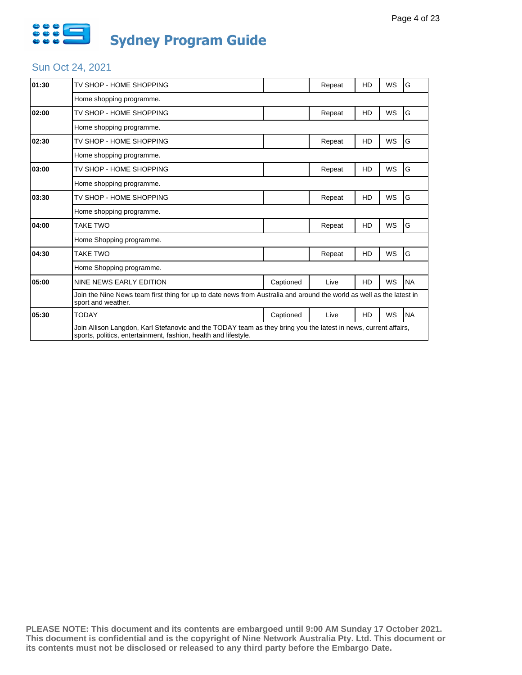

| 01:30 | TV SHOP - HOME SHOPPING                                                                                                                                                            |           | Repeat | HD | <b>WS</b> | G         |  |
|-------|------------------------------------------------------------------------------------------------------------------------------------------------------------------------------------|-----------|--------|----|-----------|-----------|--|
|       | Home shopping programme.                                                                                                                                                           |           |        |    |           |           |  |
| 02:00 | TV SHOP - HOME SHOPPING                                                                                                                                                            |           | Repeat | HD | <b>WS</b> | G         |  |
|       | Home shopping programme.                                                                                                                                                           |           |        |    |           |           |  |
| 02:30 | TV SHOP - HOME SHOPPING                                                                                                                                                            |           | Repeat | HD | <b>WS</b> | G         |  |
|       | Home shopping programme.                                                                                                                                                           |           |        |    |           |           |  |
| 03:00 | TV SHOP - HOME SHOPPING                                                                                                                                                            |           | Repeat | HD | <b>WS</b> | G         |  |
|       | Home shopping programme.                                                                                                                                                           |           |        |    |           |           |  |
| 03:30 | TV SHOP - HOME SHOPPING                                                                                                                                                            |           | Repeat | HD | WS        | G         |  |
|       | Home shopping programme.                                                                                                                                                           |           |        |    |           |           |  |
| 04:00 | TAKE TWO                                                                                                                                                                           |           | Repeat | HD | <b>WS</b> | G         |  |
|       | Home Shopping programme.                                                                                                                                                           |           |        |    |           |           |  |
| 04:30 | <b>TAKE TWO</b>                                                                                                                                                                    |           | Repeat | HD | WS        | G         |  |
|       | Home Shopping programme.                                                                                                                                                           |           |        |    |           |           |  |
| 05:00 | NINE NEWS EARLY EDITION                                                                                                                                                            | Captioned | Live   | HD | WS        | <b>NA</b> |  |
|       | Join the Nine News team first thing for up to date news from Australia and around the world as well as the latest in<br>sport and weather.                                         |           |        |    |           |           |  |
| 05:30 | TODAY                                                                                                                                                                              | Captioned | Live   | HD | WS        | <b>NA</b> |  |
|       | Join Allison Langdon, Karl Stefanovic and the TODAY team as they bring you the latest in news, current affairs,<br>sports, politics, entertainment, fashion, health and lifestyle. |           |        |    |           |           |  |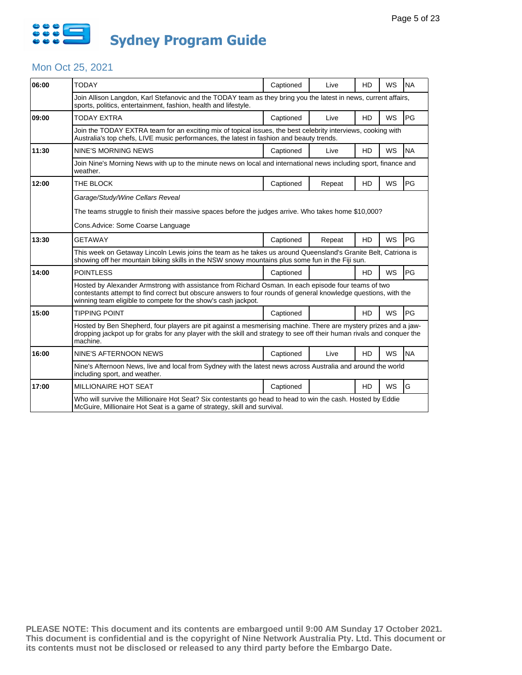

### Mon Oct 25, 2021

| 06:00 | <b>TODAY</b>                                                                                                                                                                                                                                                                            | Captioned | Live   | HD        | <b>WS</b> | <b>NA</b> |  |  |
|-------|-----------------------------------------------------------------------------------------------------------------------------------------------------------------------------------------------------------------------------------------------------------------------------------------|-----------|--------|-----------|-----------|-----------|--|--|
|       | Join Allison Langdon, Karl Stefanovic and the TODAY team as they bring you the latest in news, current affairs,<br>sports, politics, entertainment, fashion, health and lifestyle.                                                                                                      |           |        |           |           |           |  |  |
| 09:00 | <b>TODAY EXTRA</b>                                                                                                                                                                                                                                                                      | Captioned | Live   | <b>HD</b> | WS        | PG        |  |  |
|       | Join the TODAY EXTRA team for an exciting mix of topical issues, the best celebrity interviews, cooking with<br>Australia's top chefs, LIVE music performances, the latest in fashion and beauty trends.                                                                                |           |        |           |           |           |  |  |
| 11:30 | NINE'S MORNING NEWS                                                                                                                                                                                                                                                                     | Captioned | Live   | <b>HD</b> | WS        | <b>NA</b> |  |  |
|       | Join Nine's Morning News with up to the minute news on local and international news including sport, finance and<br>weather.                                                                                                                                                            |           |        |           |           |           |  |  |
| 12:00 | THE BLOCK                                                                                                                                                                                                                                                                               | Captioned | Repeat | HD        | <b>WS</b> | PG        |  |  |
|       | Garage/Study/Wine Cellars Reveal                                                                                                                                                                                                                                                        |           |        |           |           |           |  |  |
|       | The teams struggle to finish their massive spaces before the judges arrive. Who takes home \$10,000?                                                                                                                                                                                    |           |        |           |           |           |  |  |
|       | Cons.Advice: Some Coarse Language                                                                                                                                                                                                                                                       |           |        |           |           |           |  |  |
| 13:30 | <b>GETAWAY</b>                                                                                                                                                                                                                                                                          | Captioned | Repeat | HD        | WS        | PG        |  |  |
|       | This week on Getaway Lincoln Lewis joins the team as he takes us around Queensland's Granite Belt, Catriona is<br>showing off her mountain biking skills in the NSW snowy mountains plus some fun in the Fiji sun.                                                                      |           |        |           |           |           |  |  |
| 14:00 | <b>POINTLESS</b>                                                                                                                                                                                                                                                                        | Captioned |        | <b>HD</b> | WS        | PG        |  |  |
|       | Hosted by Alexander Armstrong with assistance from Richard Osman. In each episode four teams of two<br>contestants attempt to find correct but obscure answers to four rounds of general knowledge questions, with the<br>winning team eligible to compete for the show's cash jackpot. |           |        |           |           |           |  |  |
| 15:00 | <b>TIPPING POINT</b>                                                                                                                                                                                                                                                                    | Captioned |        | <b>HD</b> | WS        | PG        |  |  |
|       | Hosted by Ben Shepherd, four players are pit against a mesmerising machine. There are mystery prizes and a jaw-<br>dropping jackpot up for grabs for any player with the skill and strategy to see off their human rivals and conquer the<br>machine.                                   |           |        |           |           |           |  |  |
| 16:00 | NINE'S AFTERNOON NEWS                                                                                                                                                                                                                                                                   | Captioned | Live   | <b>HD</b> | WS        | <b>NA</b> |  |  |
|       | Nine's Afternoon News, live and local from Sydney with the latest news across Australia and around the world<br>including sport, and weather.                                                                                                                                           |           |        |           |           |           |  |  |
| 17:00 | <b>MILLIONAIRE HOT SEAT</b>                                                                                                                                                                                                                                                             | Captioned |        | <b>HD</b> | WS        | G         |  |  |
|       | Who will survive the Millionaire Hot Seat? Six contestants go head to head to win the cash. Hosted by Eddie<br>McGuire, Millionaire Hot Seat is a game of strategy, skill and survival.                                                                                                 |           |        |           |           |           |  |  |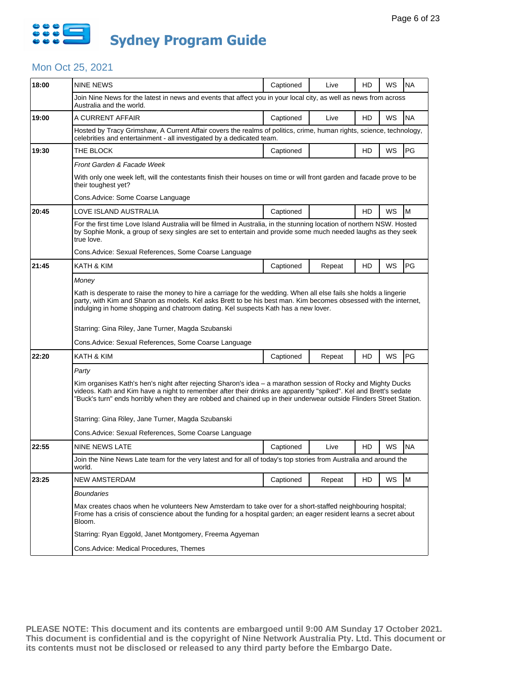

## Mon Oct 25, 2021

| 18:00 | <b>NINE NEWS</b>                                                                                                                                                                                                                                                                                                                                         | Captioned | Live   | HD | WS | <b>NA</b> |  |  |
|-------|----------------------------------------------------------------------------------------------------------------------------------------------------------------------------------------------------------------------------------------------------------------------------------------------------------------------------------------------------------|-----------|--------|----|----|-----------|--|--|
|       | Join Nine News for the latest in news and events that affect you in your local city, as well as news from across<br>Australia and the world.                                                                                                                                                                                                             |           |        |    |    |           |  |  |
| 19:00 | A CURRENT AFFAIR                                                                                                                                                                                                                                                                                                                                         | Captioned | Live   | HD | WS | <b>NA</b> |  |  |
|       | Hosted by Tracy Grimshaw, A Current Affair covers the realms of politics, crime, human rights, science, technology,<br>celebrities and entertainment - all investigated by a dedicated team.                                                                                                                                                             |           |        |    |    |           |  |  |
| 19:30 | THE BLOCK                                                                                                                                                                                                                                                                                                                                                | Captioned |        | HD | WS | PG        |  |  |
|       | Front Garden & Facade Week                                                                                                                                                                                                                                                                                                                               |           |        |    |    |           |  |  |
|       | With only one week left, will the contestants finish their houses on time or will front garden and facade prove to be<br>their toughest yet?                                                                                                                                                                                                             |           |        |    |    |           |  |  |
|       | Cons. Advice: Some Coarse Language                                                                                                                                                                                                                                                                                                                       |           |        |    |    |           |  |  |
| 20:45 | LOVE ISLAND AUSTRALIA                                                                                                                                                                                                                                                                                                                                    | Captioned |        | HD | WS | M         |  |  |
|       | For the first time Love Island Australia will be filmed in Australia, in the stunning location of northern NSW. Hosted<br>by Sophie Monk, a group of sexy singles are set to entertain and provide some much needed laughs as they seek<br>true love.                                                                                                    |           |        |    |    |           |  |  |
|       | Cons. Advice: Sexual References, Some Coarse Language                                                                                                                                                                                                                                                                                                    |           |        |    |    |           |  |  |
| 21:45 | KATH & KIM                                                                                                                                                                                                                                                                                                                                               | Captioned | Repeat | HD | WS | PG        |  |  |
|       | Money                                                                                                                                                                                                                                                                                                                                                    |           |        |    |    |           |  |  |
|       | Kath is desperate to raise the money to hire a carriage for the wedding. When all else fails she holds a lingerie<br>party, with Kim and Sharon as models. Kel asks Brett to be his best man. Kim becomes obsessed with the internet,<br>indulging in home shopping and chatroom dating. Kel suspects Kath has a new lover.                              |           |        |    |    |           |  |  |
|       | Starring: Gina Riley, Jane Turner, Magda Szubanski                                                                                                                                                                                                                                                                                                       |           |        |    |    |           |  |  |
|       | Cons.Advice: Sexual References, Some Coarse Language                                                                                                                                                                                                                                                                                                     |           |        |    |    |           |  |  |
| 22:20 | KATH & KIM                                                                                                                                                                                                                                                                                                                                               | Captioned | Repeat | HD | WS | PG        |  |  |
|       | Party                                                                                                                                                                                                                                                                                                                                                    |           |        |    |    |           |  |  |
|       | Kim organises Kath's hen's night after rejecting Sharon's idea – a marathon session of Rocky and Mighty Ducks<br>videos. Kath and Kim have a night to remember after their drinks are apparently "spiked". Kel and Brett's sedate<br>"Buck's turn" ends horribly when they are robbed and chained up in their underwear outside Flinders Street Station. |           |        |    |    |           |  |  |
|       | Starring: Gina Riley, Jane Turner, Magda Szubanski                                                                                                                                                                                                                                                                                                       |           |        |    |    |           |  |  |
|       | Cons. Advice: Sexual References, Some Coarse Language                                                                                                                                                                                                                                                                                                    |           |        |    |    |           |  |  |
| 22:55 | NINE NEWS LATE                                                                                                                                                                                                                                                                                                                                           | Captioned | Live   | HD | WS | <b>NA</b> |  |  |
|       | Join the Nine News Late team for the very latest and for all of today's top stories from Australia and around the<br>world.                                                                                                                                                                                                                              |           |        |    |    |           |  |  |
| 23:25 | <b>NEW AMSTERDAM</b>                                                                                                                                                                                                                                                                                                                                     | Captioned | Repeat | HD | WS | M         |  |  |
|       | <b>Boundaries</b>                                                                                                                                                                                                                                                                                                                                        |           |        |    |    |           |  |  |
|       | Max creates chaos when he volunteers New Amsterdam to take over for a short-staffed neighbouring hospital;<br>Frome has a crisis of conscience about the funding for a hospital garden; an eager resident learns a secret about<br>Bloom.                                                                                                                |           |        |    |    |           |  |  |
|       | Starring: Ryan Eggold, Janet Montgomery, Freema Agyeman                                                                                                                                                                                                                                                                                                  |           |        |    |    |           |  |  |
|       | Cons.Advice: Medical Procedures, Themes                                                                                                                                                                                                                                                                                                                  |           |        |    |    |           |  |  |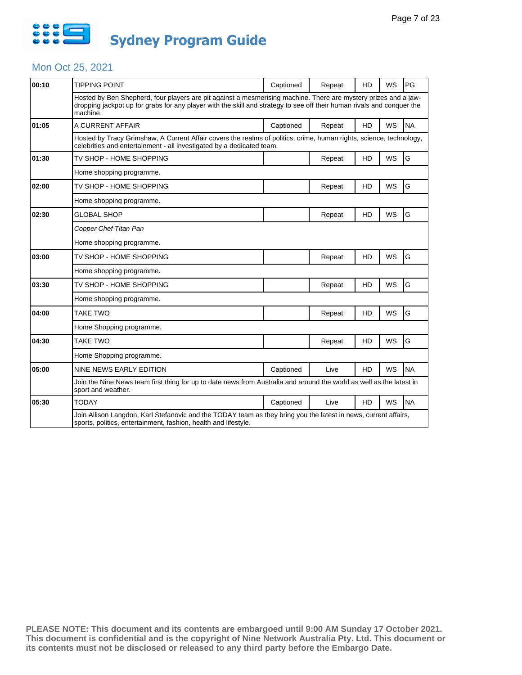

### Mon Oct 25, 2021

| 00:10 | <b>TIPPING POINT</b>                                                                                                                                                                                                                                  | Captioned | Repeat | HD        | WS        | PG        |
|-------|-------------------------------------------------------------------------------------------------------------------------------------------------------------------------------------------------------------------------------------------------------|-----------|--------|-----------|-----------|-----------|
|       | Hosted by Ben Shepherd, four players are pit against a mesmerising machine. There are mystery prizes and a jaw-<br>dropping jackpot up for grabs for any player with the skill and strategy to see off their human rivals and conquer the<br>machine. |           |        |           |           |           |
| 01:05 | A CURRENT AFFAIR                                                                                                                                                                                                                                      | Captioned | Repeat | <b>HD</b> | <b>WS</b> | <b>NA</b> |
|       | Hosted by Tracy Grimshaw, A Current Affair covers the realms of politics, crime, human rights, science, technology,<br>celebrities and entertainment - all investigated by a dedicated team.                                                          |           |        |           |           |           |
| 01:30 | TV SHOP - HOME SHOPPING                                                                                                                                                                                                                               |           | Repeat | HD        | <b>WS</b> | G         |
|       | Home shopping programme.                                                                                                                                                                                                                              |           |        |           |           |           |
| 02:00 | TV SHOP - HOME SHOPPING                                                                                                                                                                                                                               |           | Repeat | HD        | WS        | G         |
|       | Home shopping programme.                                                                                                                                                                                                                              |           |        |           |           |           |
| 02:30 | <b>GLOBAL SHOP</b>                                                                                                                                                                                                                                    |           | Repeat | HD        | WS        | G         |
|       | Copper Chef Titan Pan                                                                                                                                                                                                                                 |           |        |           |           |           |
|       | Home shopping programme.                                                                                                                                                                                                                              |           |        |           |           |           |
| 03:00 | TV SHOP - HOME SHOPPING                                                                                                                                                                                                                               |           | Repeat | HD        | <b>WS</b> | G         |
|       | Home shopping programme.                                                                                                                                                                                                                              |           |        |           |           |           |
| 03:30 | TV SHOP - HOME SHOPPING                                                                                                                                                                                                                               |           | Repeat | HD        | WS        | G         |
|       | Home shopping programme.                                                                                                                                                                                                                              |           |        |           |           |           |
| 04:00 | <b>TAKE TWO</b>                                                                                                                                                                                                                                       |           | Repeat | HD        | WS        | G         |
|       | Home Shopping programme.                                                                                                                                                                                                                              |           |        |           |           |           |
| 04:30 | <b>TAKE TWO</b>                                                                                                                                                                                                                                       |           | Repeat | HD        | <b>WS</b> | G         |
|       | Home Shopping programme.                                                                                                                                                                                                                              |           |        |           |           |           |
| 05:00 | NINE NEWS EARLY EDITION                                                                                                                                                                                                                               | Captioned | Live   | <b>HD</b> | WS        | <b>NA</b> |
|       | Join the Nine News team first thing for up to date news from Australia and around the world as well as the latest in<br>sport and weather.                                                                                                            |           |        |           |           |           |
| 05:30 | TODAY                                                                                                                                                                                                                                                 | Captioned | Live   | HD.       | WS        | <b>NA</b> |
|       | Join Allison Langdon, Karl Stefanovic and the TODAY team as they bring you the latest in news, current affairs,<br>sports, politics, entertainment, fashion, health and lifestyle.                                                                    |           |        |           |           |           |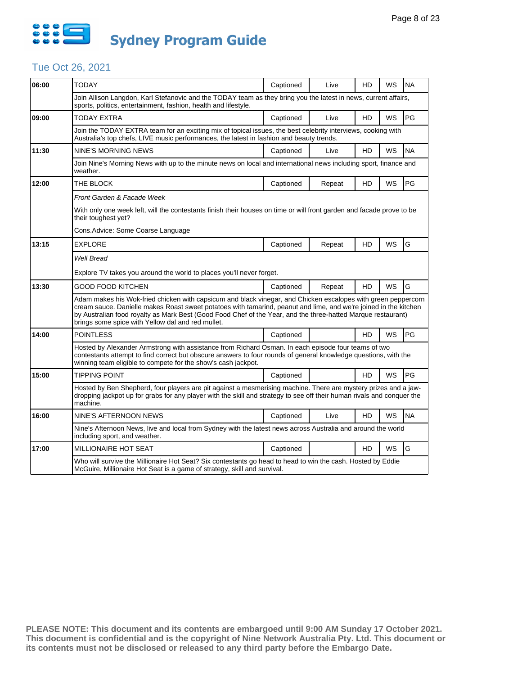

# Tue Oct 26, 2021

| 06:00 | TODAY                                                                                                                                                                                                                                                                                                                                                                                                  | Captioned | Live   | HD        | WS        | <b>NA</b> |  |  |
|-------|--------------------------------------------------------------------------------------------------------------------------------------------------------------------------------------------------------------------------------------------------------------------------------------------------------------------------------------------------------------------------------------------------------|-----------|--------|-----------|-----------|-----------|--|--|
|       | Join Allison Langdon, Karl Stefanovic and the TODAY team as they bring you the latest in news, current affairs,<br>sports, politics, entertainment, fashion, health and lifestyle.                                                                                                                                                                                                                     |           |        |           |           |           |  |  |
| 09:00 | TODAY EXTRA                                                                                                                                                                                                                                                                                                                                                                                            | Captioned | Live   | HD        | <b>WS</b> | PG        |  |  |
|       | Join the TODAY EXTRA team for an exciting mix of topical issues, the best celebrity interviews, cooking with<br>Australia's top chefs, LIVE music performances, the latest in fashion and beauty trends.                                                                                                                                                                                               |           |        |           |           |           |  |  |
| 11:30 | NINE'S MORNING NEWS                                                                                                                                                                                                                                                                                                                                                                                    | Captioned | Live   | HD        | WS        | <b>NA</b> |  |  |
|       | Join Nine's Morning News with up to the minute news on local and international news including sport, finance and<br>weather.                                                                                                                                                                                                                                                                           |           |        |           |           |           |  |  |
| 12:00 | THE BLOCK                                                                                                                                                                                                                                                                                                                                                                                              | Captioned | Repeat | HD        | WS        | PG        |  |  |
|       | Front Garden & Facade Week                                                                                                                                                                                                                                                                                                                                                                             |           |        |           |           |           |  |  |
|       | With only one week left, will the contestants finish their houses on time or will front garden and facade prove to be<br>their toughest yet?                                                                                                                                                                                                                                                           |           |        |           |           |           |  |  |
|       | Cons. Advice: Some Coarse Language                                                                                                                                                                                                                                                                                                                                                                     |           |        |           |           |           |  |  |
| 13:15 | <b>EXPLORE</b>                                                                                                                                                                                                                                                                                                                                                                                         | Captioned | Repeat | HD        | <b>WS</b> | G         |  |  |
|       | <b>Well Bread</b>                                                                                                                                                                                                                                                                                                                                                                                      |           |        |           |           |           |  |  |
|       | Explore TV takes you around the world to places you'll never forget.                                                                                                                                                                                                                                                                                                                                   |           |        |           |           |           |  |  |
| 13:30 | <b>GOOD FOOD KITCHEN</b>                                                                                                                                                                                                                                                                                                                                                                               | Captioned | Repeat | <b>HD</b> | <b>WS</b> | G         |  |  |
|       | Adam makes his Wok-fried chicken with capsicum and black vinegar, and Chicken escalopes with green peppercorn<br>cream sauce. Danielle makes Roast sweet potatoes with tamarind, peanut and lime, and we're joined in the kitchen<br>by Australian food royalty as Mark Best (Good Food Chef of the Year, and the three-hatted Marque restaurant)<br>brings some spice with Yellow dal and red mullet. |           |        |           |           |           |  |  |
| 14:00 | <b>POINTLESS</b>                                                                                                                                                                                                                                                                                                                                                                                       | Captioned |        | HD        | WS        | PG        |  |  |
|       | Hosted by Alexander Armstrong with assistance from Richard Osman. In each episode four teams of two<br>contestants attempt to find correct but obscure answers to four rounds of general knowledge questions, with the<br>winning team eligible to compete for the show's cash jackpot.                                                                                                                |           |        |           |           |           |  |  |
| 15:00 | TIPPING POINT                                                                                                                                                                                                                                                                                                                                                                                          | Captioned |        | <b>HD</b> | WS        | PG        |  |  |
|       | Hosted by Ben Shepherd, four players are pit against a mesmerising machine. There are mystery prizes and a jaw-<br>dropping jackpot up for grabs for any player with the skill and strategy to see off their human rivals and conquer the<br>machine.                                                                                                                                                  |           |        |           |           |           |  |  |
| 16:00 | NINE'S AFTERNOON NEWS                                                                                                                                                                                                                                                                                                                                                                                  | Captioned | Live   | HD        | WS        | <b>NA</b> |  |  |
|       | Nine's Afternoon News, live and local from Sydney with the latest news across Australia and around the world<br>including sport, and weather.                                                                                                                                                                                                                                                          |           |        |           |           |           |  |  |
| 17:00 | MILLIONAIRE HOT SEAT                                                                                                                                                                                                                                                                                                                                                                                   | Captioned |        | HD        | <b>WS</b> | G         |  |  |
|       | Who will survive the Millionaire Hot Seat? Six contestants go head to head to win the cash. Hosted by Eddie<br>McGuire, Millionaire Hot Seat is a game of strategy, skill and survival.                                                                                                                                                                                                                |           |        |           |           |           |  |  |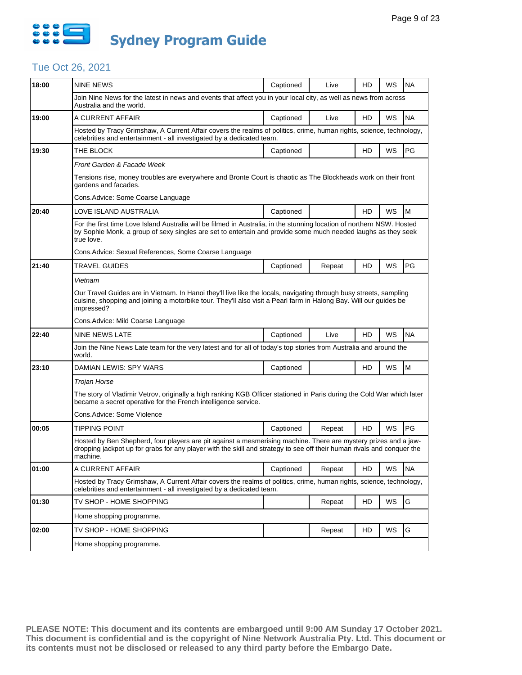

# Tue Oct 26, 2021

| 18:00 | <b>NINE NEWS</b>                                                                                                                                                                                                                                      | Captioned | Live   | HD | WS | <b>NA</b> |  |  |
|-------|-------------------------------------------------------------------------------------------------------------------------------------------------------------------------------------------------------------------------------------------------------|-----------|--------|----|----|-----------|--|--|
|       | Join Nine News for the latest in news and events that affect you in your local city, as well as news from across<br>Australia and the world.                                                                                                          |           |        |    |    |           |  |  |
| 19:00 | A CURRENT AFFAIR                                                                                                                                                                                                                                      | Captioned | Live   | HD | WS | <b>NA</b> |  |  |
|       | Hosted by Tracy Grimshaw, A Current Affair covers the realms of politics, crime, human rights, science, technology,<br>celebrities and entertainment - all investigated by a dedicated team.                                                          |           |        |    |    |           |  |  |
| 19:30 | THE BLOCK                                                                                                                                                                                                                                             | Captioned |        | HD | WS | PG        |  |  |
|       | Front Garden & Facade Week                                                                                                                                                                                                                            |           |        |    |    |           |  |  |
|       | Tensions rise, money troubles are everywhere and Bronte Court is chaotic as The Blockheads work on their front<br>gardens and facades.                                                                                                                |           |        |    |    |           |  |  |
|       | Cons.Advice: Some Coarse Language                                                                                                                                                                                                                     |           |        |    |    |           |  |  |
| 20:40 | LOVE ISLAND AUSTRALIA                                                                                                                                                                                                                                 | Captioned |        | HD | WS | M         |  |  |
|       | For the first time Love Island Australia will be filmed in Australia, in the stunning location of northern NSW. Hosted<br>by Sophie Monk, a group of sexy singles are set to entertain and provide some much needed laughs as they seek<br>true love. |           |        |    |    |           |  |  |
|       | Cons. Advice: Sexual References, Some Coarse Language                                                                                                                                                                                                 |           |        |    |    |           |  |  |
| 21:40 | <b>TRAVEL GUIDES</b>                                                                                                                                                                                                                                  | Captioned | Repeat | HD | WS | PG        |  |  |
|       | Vietnam                                                                                                                                                                                                                                               |           |        |    |    |           |  |  |
|       | Our Travel Guides are in Vietnam. In Hanoi they'll live like the locals, navigating through busy streets, sampling<br>cuisine, shopping and joining a motorbike tour. They'll also visit a Pearl farm in Halong Bay. Will our guides be<br>impressed? |           |        |    |    |           |  |  |
|       | Cons. Advice: Mild Coarse Language                                                                                                                                                                                                                    |           |        |    |    |           |  |  |
| 22:40 | NINE NEWS LATE                                                                                                                                                                                                                                        | Captioned | Live   | HD | WS | <b>NA</b> |  |  |
|       | Join the Nine News Late team for the very latest and for all of today's top stories from Australia and around the<br>world.                                                                                                                           |           |        |    |    |           |  |  |
| 23:10 | DAMIAN LEWIS: SPY WARS                                                                                                                                                                                                                                | Captioned |        | HD | WS | M         |  |  |
|       | Trojan Horse                                                                                                                                                                                                                                          |           |        |    |    |           |  |  |
|       | The story of Vladimir Vetrov, originally a high ranking KGB Officer stationed in Paris during the Cold War which later<br>became a secret operative for the French intelligence service.                                                              |           |        |    |    |           |  |  |
|       | Cons.Advice: Some Violence                                                                                                                                                                                                                            |           |        |    |    |           |  |  |
| 00:05 | <b>TIPPING POINT</b>                                                                                                                                                                                                                                  | Captioned | Repeat | HD | WS | PG        |  |  |
|       | Hosted by Ben Shepherd, four players are pit against a mesmerising machine. There are mystery prizes and a jaw-<br>dropping jackpot up for grabs for any player with the skill and strategy to see off their human rivals and conquer the<br>machine. |           |        |    |    |           |  |  |
| 01:00 | A CURRENT AFFAIR                                                                                                                                                                                                                                      | Captioned | Repeat | HD | WS | <b>NA</b> |  |  |
|       | Hosted by Tracy Grimshaw, A Current Affair covers the realms of politics, crime, human rights, science, technology,<br>celebrities and entertainment - all investigated by a dedicated team.                                                          |           |        |    |    |           |  |  |
| 01:30 | TV SHOP - HOME SHOPPING                                                                                                                                                                                                                               |           | Repeat | HD | WS | G         |  |  |
|       | Home shopping programme.                                                                                                                                                                                                                              |           |        |    |    |           |  |  |
| 02:00 | TV SHOP - HOME SHOPPING                                                                                                                                                                                                                               |           | Repeat | HD | WS | G         |  |  |
|       | Home shopping programme.                                                                                                                                                                                                                              |           |        |    |    |           |  |  |
|       |                                                                                                                                                                                                                                                       |           |        |    |    |           |  |  |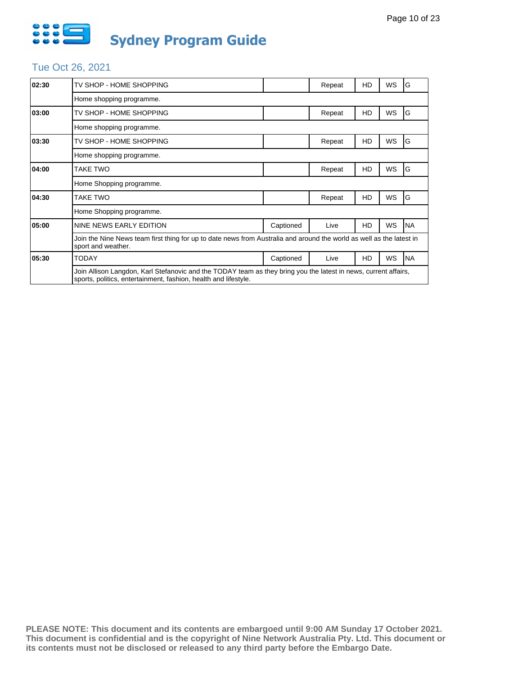

# Tue Oct 26, 2021

| 02:30 | TV SHOP - HOME SHOPPING                                                                                                                                                            |           | Repeat | HD | WS        | G          |  |
|-------|------------------------------------------------------------------------------------------------------------------------------------------------------------------------------------|-----------|--------|----|-----------|------------|--|
|       | Home shopping programme.                                                                                                                                                           |           |        |    |           |            |  |
| 03:00 | TV SHOP - HOME SHOPPING                                                                                                                                                            |           | Repeat | HD | WS        | G          |  |
|       | Home shopping programme.                                                                                                                                                           |           |        |    |           |            |  |
| 03:30 | TV SHOP - HOME SHOPPING                                                                                                                                                            |           | Repeat | HD | WS        | G          |  |
|       | Home shopping programme.                                                                                                                                                           |           |        |    |           |            |  |
| 04:00 | TAKE TWO                                                                                                                                                                           |           | Repeat | HD | WS        | G          |  |
|       | Home Shopping programme.                                                                                                                                                           |           |        |    |           |            |  |
| 04:30 | TAKE TWO                                                                                                                                                                           |           | Repeat | HD | WS        | G          |  |
|       | Home Shopping programme.                                                                                                                                                           |           |        |    |           |            |  |
| 05:00 | NINE NEWS EARLY EDITION                                                                                                                                                            | Captioned | Live   | HD | <b>WS</b> | <b>NA</b>  |  |
|       | Join the Nine News team first thing for up to date news from Australia and around the world as well as the latest in<br>sport and weather.                                         |           |        |    |           |            |  |
| 05:30 | <b>TODAY</b>                                                                                                                                                                       | Captioned | Live   | HD | <b>WS</b> | <b>INA</b> |  |
|       | Join Allison Langdon, Karl Stefanovic and the TODAY team as they bring you the latest in news, current affairs,<br>sports, politics, entertainment, fashion, health and lifestyle. |           |        |    |           |            |  |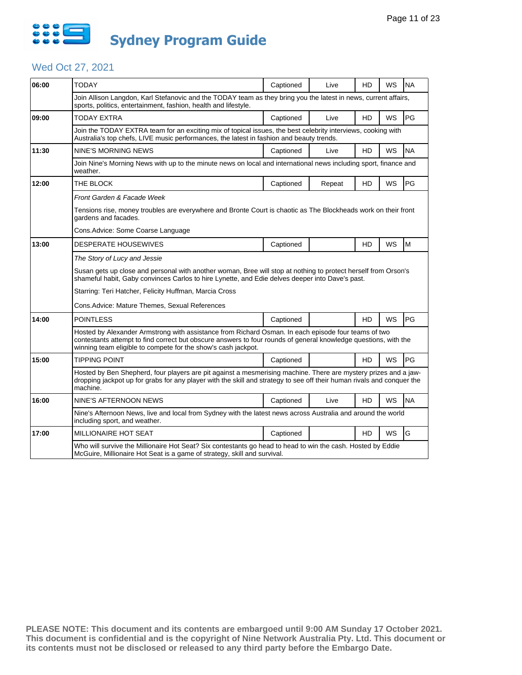

# Wed Oct 27, 2021

| 06:00 | <b>TODAY</b>                                                                                                                                                                                                                                                                            | Captioned | Live   | HD        | <b>WS</b> | <b>NA</b> |  |  |
|-------|-----------------------------------------------------------------------------------------------------------------------------------------------------------------------------------------------------------------------------------------------------------------------------------------|-----------|--------|-----------|-----------|-----------|--|--|
|       | Join Allison Langdon, Karl Stefanovic and the TODAY team as they bring you the latest in news, current affairs,<br>sports, politics, entertainment, fashion, health and lifestyle.                                                                                                      |           |        |           |           |           |  |  |
| 09:00 | <b>TODAY EXTRA</b>                                                                                                                                                                                                                                                                      | Captioned | Live   | HD        | WS        | PG        |  |  |
|       | Join the TODAY EXTRA team for an exciting mix of topical issues, the best celebrity interviews, cooking with<br>Australia's top chefs, LIVE music performances, the latest in fashion and beauty trends.                                                                                |           |        |           |           |           |  |  |
| 11:30 | NINE'S MORNING NEWS                                                                                                                                                                                                                                                                     | Captioned | Live   | HD        | WS        | <b>NA</b> |  |  |
|       | Join Nine's Morning News with up to the minute news on local and international news including sport, finance and<br>weather.                                                                                                                                                            |           |        |           |           |           |  |  |
| 12:00 | THE BLOCK                                                                                                                                                                                                                                                                               | Captioned | Repeat | HD        | <b>WS</b> | PG        |  |  |
|       | Front Garden & Facade Week                                                                                                                                                                                                                                                              |           |        |           |           |           |  |  |
|       | Tensions rise, money troubles are everywhere and Bronte Court is chaotic as The Blockheads work on their front<br>gardens and facades.                                                                                                                                                  |           |        |           |           |           |  |  |
|       | Cons. Advice: Some Coarse Language                                                                                                                                                                                                                                                      |           |        |           |           |           |  |  |
| 13:00 | <b>DESPERATE HOUSEWIVES</b>                                                                                                                                                                                                                                                             | Captioned |        | HD        | WS        | M         |  |  |
|       | The Story of Lucy and Jessie                                                                                                                                                                                                                                                            |           |        |           |           |           |  |  |
|       | Susan gets up close and personal with another woman, Bree will stop at nothing to protect herself from Orson's<br>shameful habit, Gaby convinces Carlos to hire Lynette, and Edie delves deeper into Dave's past.                                                                       |           |        |           |           |           |  |  |
|       | Starring: Teri Hatcher, Felicity Huffman, Marcia Cross                                                                                                                                                                                                                                  |           |        |           |           |           |  |  |
|       | Cons. Advice: Mature Themes, Sexual References                                                                                                                                                                                                                                          |           |        |           |           |           |  |  |
| 14:00 | <b>POINTLESS</b>                                                                                                                                                                                                                                                                        | Captioned |        | <b>HD</b> | WS        | PG        |  |  |
|       | Hosted by Alexander Armstrong with assistance from Richard Osman. In each episode four teams of two<br>contestants attempt to find correct but obscure answers to four rounds of general knowledge questions, with the<br>winning team eligible to compete for the show's cash jackpot. |           |        |           |           |           |  |  |
| 15:00 | TIPPING POINT                                                                                                                                                                                                                                                                           | Captioned |        | HD        | WS        | PG        |  |  |
|       | Hosted by Ben Shepherd, four players are pit against a mesmerising machine. There are mystery prizes and a jaw-<br>dropping jackpot up for grabs for any player with the skill and strategy to see off their human rivals and conquer the<br>machine.                                   |           |        |           |           |           |  |  |
| 16:00 | NINE'S AFTERNOON NEWS                                                                                                                                                                                                                                                                   | Captioned | Live   | HD        | WS        | <b>NA</b> |  |  |
|       | Nine's Afternoon News, live and local from Sydney with the latest news across Australia and around the world<br>including sport, and weather.                                                                                                                                           |           |        |           |           |           |  |  |
| 17:00 | MILLIONAIRE HOT SEAT                                                                                                                                                                                                                                                                    | Captioned |        | HD        | <b>WS</b> | G         |  |  |
|       | Who will survive the Millionaire Hot Seat? Six contestants go head to head to win the cash. Hosted by Eddie<br>McGuire, Millionaire Hot Seat is a game of strategy, skill and survival.                                                                                                 |           |        |           |           |           |  |  |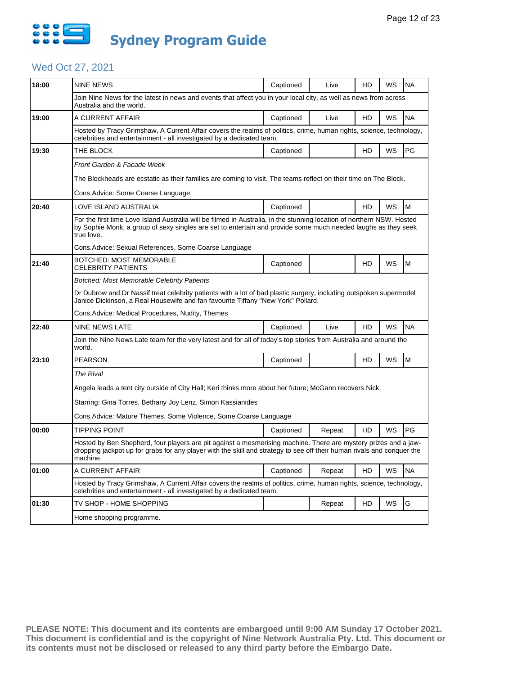

# Wed Oct 27, 2021

| 18:00 |                                                                                                                                                                                                                                                       |           |        |    |    |           |  |  |
|-------|-------------------------------------------------------------------------------------------------------------------------------------------------------------------------------------------------------------------------------------------------------|-----------|--------|----|----|-----------|--|--|
|       | <b>NINE NEWS</b>                                                                                                                                                                                                                                      | Captioned | Live   | HD | WS | <b>NA</b> |  |  |
|       | Join Nine News for the latest in news and events that affect you in your local city, as well as news from across<br>Australia and the world.                                                                                                          |           |        |    |    |           |  |  |
| 19:00 | A CURRENT AFFAIR                                                                                                                                                                                                                                      | Captioned | Live   | HD | WS | <b>NA</b> |  |  |
|       | Hosted by Tracy Grimshaw, A Current Affair covers the realms of politics, crime, human rights, science, technology,<br>celebrities and entertainment - all investigated by a dedicated team.                                                          |           |        |    |    |           |  |  |
| 19:30 | THE BLOCK                                                                                                                                                                                                                                             | Captioned |        | HD | WS | <b>PG</b> |  |  |
|       | Front Garden & Facade Week                                                                                                                                                                                                                            |           |        |    |    |           |  |  |
|       | The Blockheads are ecstatic as their families are coming to visit. The teams reflect on their time on The Block.                                                                                                                                      |           |        |    |    |           |  |  |
|       | Cons.Advice: Some Coarse Language                                                                                                                                                                                                                     |           |        |    |    |           |  |  |
| 20:40 | LOVE ISLAND AUSTRALIA                                                                                                                                                                                                                                 | Captioned |        | HD | WS | M         |  |  |
|       | For the first time Love Island Australia will be filmed in Australia, in the stunning location of northern NSW. Hosted<br>by Sophie Monk, a group of sexy singles are set to entertain and provide some much needed laughs as they seek<br>true love. |           |        |    |    |           |  |  |
|       | Cons.Advice: Sexual References, Some Coarse Language                                                                                                                                                                                                  |           |        |    |    |           |  |  |
| 21:40 | BOTCHED: MOST MEMORABLE<br>CELEBRITY PATIENTS                                                                                                                                                                                                         | Captioned |        | HD | WS | M         |  |  |
|       | Botched: Most Memorable Celebrity Patients                                                                                                                                                                                                            |           |        |    |    |           |  |  |
|       | Dr Dubrow and Dr Nassif treat celebrity patients with a lot of bad plastic surgery, including outspoken supermodel<br>Janice Dickinson, a Real Housewife and fan favourite Tiffany "New York" Pollard.                                                |           |        |    |    |           |  |  |
|       |                                                                                                                                                                                                                                                       |           |        |    |    |           |  |  |
|       | Cons.Advice: Medical Procedures, Nudity, Themes                                                                                                                                                                                                       |           |        |    |    |           |  |  |
| 22:40 | <b>NINE NEWS LATE</b>                                                                                                                                                                                                                                 | Captioned | Live   | HD | WS | <b>NA</b> |  |  |
|       | Join the Nine News Late team for the very latest and for all of today's top stories from Australia and around the<br>world.                                                                                                                           |           |        |    |    |           |  |  |
| 23:10 | <b>PEARSON</b>                                                                                                                                                                                                                                        | Captioned |        | HD | WS | M         |  |  |
|       | <b>The Rival</b>                                                                                                                                                                                                                                      |           |        |    |    |           |  |  |
|       | Angela leads a tent city outside of City Hall; Keri thinks more about her future; McGann recovers Nick.                                                                                                                                               |           |        |    |    |           |  |  |
|       | Starring: Gina Torres, Bethany Joy Lenz, Simon Kassianides                                                                                                                                                                                            |           |        |    |    |           |  |  |
|       | Cons.Advice: Mature Themes, Some Violence, Some Coarse Language                                                                                                                                                                                       |           |        |    |    |           |  |  |
| 00:00 | Tipping Point                                                                                                                                                                                                                                         | Captioned | Repeat | HD | WS | PG        |  |  |
|       | Hosted by Ben Shepherd, four players are pit against a mesmerising machine. There are mystery prizes and a jaw-<br>dropping jackpot up for grabs for any player with the skill and strategy to see off their human rivals and conquer the<br>machine. |           |        |    |    |           |  |  |
| 01:00 | A CURRENT AFFAIR                                                                                                                                                                                                                                      | Captioned | Repeat | HD | WS | <b>NA</b> |  |  |
|       | Hosted by Tracy Grimshaw, A Current Affair covers the realms of politics, crime, human rights, science, technology,<br>celebrities and entertainment - all investigated by a dedicated team.                                                          |           |        |    |    |           |  |  |
| 01:30 | TV SHOP - HOME SHOPPING                                                                                                                                                                                                                               |           | Repeat | HD | WS | G         |  |  |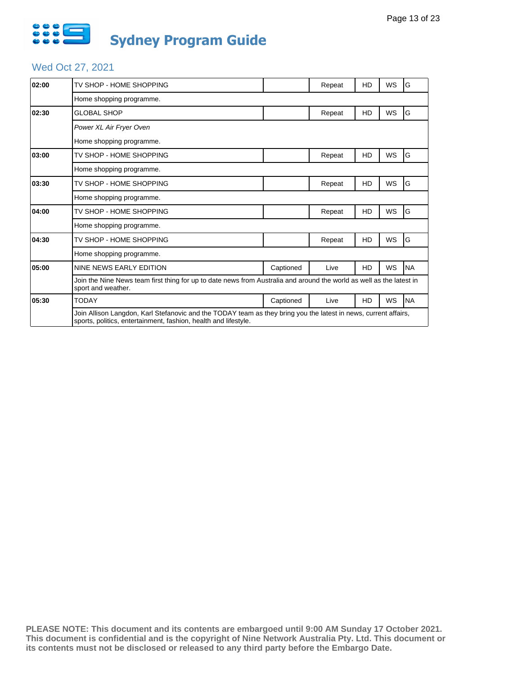

# Wed Oct 27, 2021

| 02:00 | TV SHOP - HOME SHOPPING                                                                                                                                                            |           | Repeat | HD | WS        | G         |
|-------|------------------------------------------------------------------------------------------------------------------------------------------------------------------------------------|-----------|--------|----|-----------|-----------|
|       | Home shopping programme.                                                                                                                                                           |           |        |    |           |           |
| 02:30 | <b>GLOBAL SHOP</b>                                                                                                                                                                 |           | Repeat | HD | WS        | G         |
|       | Power XL Air Fryer Oven                                                                                                                                                            |           |        |    |           |           |
|       | Home shopping programme.                                                                                                                                                           |           |        |    |           |           |
| 03:00 | TV SHOP - HOME SHOPPING                                                                                                                                                            |           | Repeat | HD | <b>WS</b> | G         |
|       | Home shopping programme.                                                                                                                                                           |           |        |    |           |           |
| 03:30 | TV SHOP - HOME SHOPPING                                                                                                                                                            |           | Repeat | HD | WS        | G         |
|       | Home shopping programme.                                                                                                                                                           |           |        |    |           |           |
| 04:00 | TV SHOP - HOME SHOPPING                                                                                                                                                            |           | Repeat | HD | <b>WS</b> | G         |
|       | Home shopping programme.                                                                                                                                                           |           |        |    |           |           |
| 04:30 | TV SHOP - HOME SHOPPING                                                                                                                                                            |           | Repeat | HD | <b>WS</b> | G         |
|       | Home shopping programme.                                                                                                                                                           |           |        |    |           |           |
| 05:00 | NINE NEWS EARLY EDITION                                                                                                                                                            | Captioned | Live   | HD | WS        | <b>NA</b> |
|       | Join the Nine News team first thing for up to date news from Australia and around the world as well as the latest in<br>sport and weather.                                         |           |        |    |           |           |
| 05:30 | <b>TODAY</b>                                                                                                                                                                       | Captioned | Live   | HD | WS        | <b>NA</b> |
|       | Join Allison Langdon, Karl Stefanovic and the TODAY team as they bring you the latest in news, current affairs,<br>sports, politics, entertainment, fashion, health and lifestyle. |           |        |    |           |           |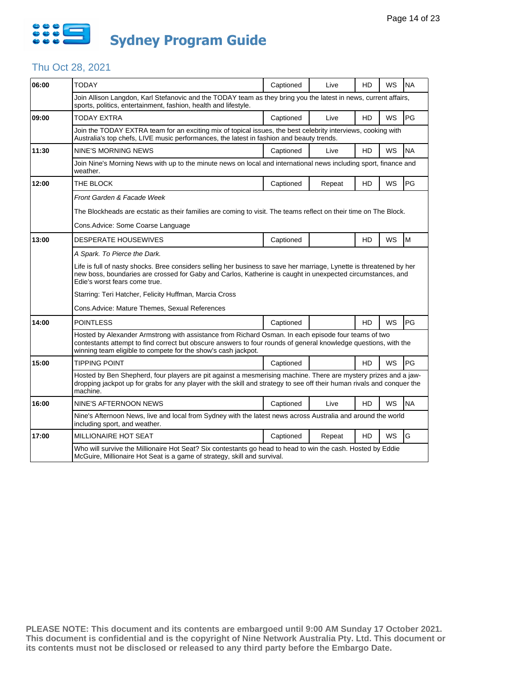

# Thu Oct 28, 2021

| 06:00 | <b>TODAY</b>                                                                                                                                                                                                                                                                            | Captioned | Live   | HD        | WS        | <b>NA</b> |  |  |
|-------|-----------------------------------------------------------------------------------------------------------------------------------------------------------------------------------------------------------------------------------------------------------------------------------------|-----------|--------|-----------|-----------|-----------|--|--|
|       | Join Allison Langdon, Karl Stefanovic and the TODAY team as they bring you the latest in news, current affairs,<br>sports, politics, entertainment, fashion, health and lifestyle.                                                                                                      |           |        |           |           |           |  |  |
| 09:00 | TODAY EXTRA                                                                                                                                                                                                                                                                             | Captioned | Live   | HD        | <b>WS</b> | PG        |  |  |
|       | Join the TODAY EXTRA team for an exciting mix of topical issues, the best celebrity interviews, cooking with<br>Australia's top chefs, LIVE music performances, the latest in fashion and beauty trends.                                                                                |           |        |           |           |           |  |  |
| 11:30 | <b>NINE'S MORNING NEWS</b>                                                                                                                                                                                                                                                              | Captioned | Live   | HD        | <b>WS</b> | <b>NA</b> |  |  |
|       | Join Nine's Morning News with up to the minute news on local and international news including sport, finance and<br>weather.                                                                                                                                                            |           |        |           |           |           |  |  |
| 12:00 | THE BLOCK                                                                                                                                                                                                                                                                               | Captioned | Repeat | <b>HD</b> | WS        | PG        |  |  |
|       | Front Garden & Facade Week                                                                                                                                                                                                                                                              |           |        |           |           |           |  |  |
|       | The Blockheads are ecstatic as their families are coming to visit. The teams reflect on their time on The Block.                                                                                                                                                                        |           |        |           |           |           |  |  |
|       | Cons.Advice: Some Coarse Language                                                                                                                                                                                                                                                       |           |        |           |           |           |  |  |
| 13:00 | <b>DESPERATE HOUSEWIVES</b>                                                                                                                                                                                                                                                             | Captioned |        | HD        | <b>WS</b> | M         |  |  |
|       | A Spark. To Pierce the Dark.                                                                                                                                                                                                                                                            |           |        |           |           |           |  |  |
|       | Life is full of nasty shocks. Bree considers selling her business to save her marriage, Lynette is threatened by her<br>new boss, boundaries are crossed for Gaby and Carlos, Katherine is caught in unexpected circumstances, and<br>Edie's worst fears come true.                     |           |        |           |           |           |  |  |
|       | Starring: Teri Hatcher, Felicity Huffman, Marcia Cross                                                                                                                                                                                                                                  |           |        |           |           |           |  |  |
|       | Cons. Advice: Mature Themes, Sexual References                                                                                                                                                                                                                                          |           |        |           |           |           |  |  |
| 14:00 | <b>POINTLESS</b>                                                                                                                                                                                                                                                                        | Captioned |        | HD        | WS        | PG        |  |  |
|       | Hosted by Alexander Armstrong with assistance from Richard Osman. In each episode four teams of two<br>contestants attempt to find correct but obscure answers to four rounds of general knowledge questions, with the<br>winning team eligible to compete for the show's cash jackpot. |           |        |           |           |           |  |  |
| 15:00 | <b>TIPPING POINT</b>                                                                                                                                                                                                                                                                    | Captioned |        | HD        | WS        | PG        |  |  |
|       | Hosted by Ben Shepherd, four players are pit against a mesmerising machine. There are mystery prizes and a jaw-<br>dropping jackpot up for grabs for any player with the skill and strategy to see off their human rivals and conquer the<br>machine.                                   |           |        |           |           |           |  |  |
| 16:00 | NINE'S AFTERNOON NEWS                                                                                                                                                                                                                                                                   | Captioned | Live   | HD        | WS        | <b>NA</b> |  |  |
|       | Nine's Afternoon News, live and local from Sydney with the latest news across Australia and around the world<br>including sport, and weather.                                                                                                                                           |           |        |           |           |           |  |  |
| 17:00 | <b>MILLIONAIRE HOT SEAT</b>                                                                                                                                                                                                                                                             | Captioned | Repeat | HD        | WS        | G         |  |  |
|       | Who will survive the Millionaire Hot Seat? Six contestants go head to head to win the cash. Hosted by Eddie<br>McGuire, Millionaire Hot Seat is a game of strategy, skill and survival.                                                                                                 |           |        |           |           |           |  |  |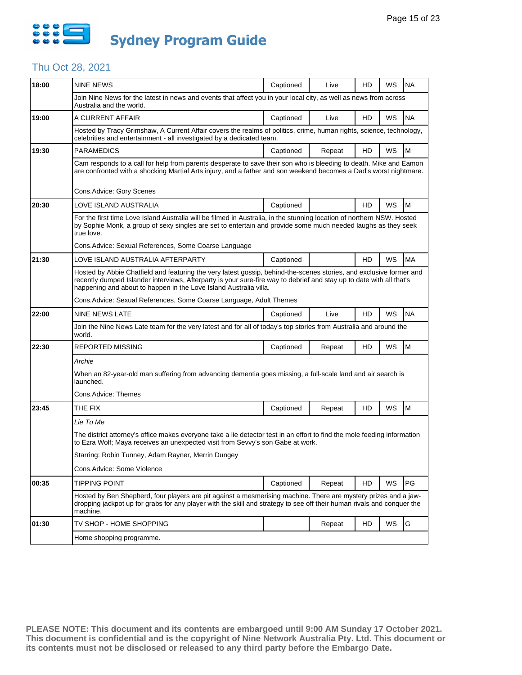

# Thu Oct 28, 2021

| 18:00 | <b>NINE NEWS</b>                                                                                                                                                                                                                                                                                                 | Captioned | Live   | HD | WS | <b>NA</b> |  |  |
|-------|------------------------------------------------------------------------------------------------------------------------------------------------------------------------------------------------------------------------------------------------------------------------------------------------------------------|-----------|--------|----|----|-----------|--|--|
|       | Join Nine News for the latest in news and events that affect you in your local city, as well as news from across<br>Australia and the world.                                                                                                                                                                     |           |        |    |    |           |  |  |
| 19:00 | A CURRENT AFFAIR                                                                                                                                                                                                                                                                                                 | Captioned | Live   | HD | WS | <b>NA</b> |  |  |
|       | Hosted by Tracy Grimshaw, A Current Affair covers the realms of politics, crime, human rights, science, technology,<br>celebrities and entertainment - all investigated by a dedicated team.                                                                                                                     |           |        |    |    |           |  |  |
| 19:30 | <b>PARAMEDICS</b>                                                                                                                                                                                                                                                                                                | Captioned | Repeat | HD | WS | M         |  |  |
|       | Cam responds to a call for help from parents desperate to save their son who is bleeding to death. Mike and Eamon<br>are confronted with a shocking Martial Arts injury, and a father and son weekend becomes a Dad's worst nightmare.                                                                           |           |        |    |    |           |  |  |
|       | Cons.Advice: Gory Scenes                                                                                                                                                                                                                                                                                         |           |        |    |    |           |  |  |
| 20:30 | LOVE ISLAND AUSTRALIA                                                                                                                                                                                                                                                                                            | Captioned |        | HD | WS | M         |  |  |
|       | For the first time Love Island Australia will be filmed in Australia, in the stunning location of northern NSW. Hosted<br>by Sophie Monk, a group of sexy singles are set to entertain and provide some much needed laughs as they seek<br>true love.                                                            |           |        |    |    |           |  |  |
|       | Cons.Advice: Sexual References, Some Coarse Language                                                                                                                                                                                                                                                             |           |        |    |    |           |  |  |
| 21:30 | LOVE ISLAND AUSTRALIA AFTERPARTY                                                                                                                                                                                                                                                                                 | Captioned |        | HD | WS | <b>MA</b> |  |  |
|       | Hosted by Abbie Chatfield and featuring the very latest gossip, behind-the-scenes stories, and exclusive former and<br>recently dumped Islander interviews, Afterparty is your sure-fire way to debrief and stay up to date with all that's<br>happening and about to happen in the Love Island Australia villa. |           |        |    |    |           |  |  |
|       | Cons. Advice: Sexual References, Some Coarse Language, Adult Themes                                                                                                                                                                                                                                              |           |        |    |    |           |  |  |
| 22:00 | NINE NEWS LATE                                                                                                                                                                                                                                                                                                   | Captioned | Live   | HD | WS | <b>NA</b> |  |  |
|       | Join the Nine News Late team for the very latest and for all of today's top stories from Australia and around the<br>world.                                                                                                                                                                                      |           |        |    |    |           |  |  |
| 22:30 | <b>REPORTED MISSING</b>                                                                                                                                                                                                                                                                                          | Captioned | Repeat | HD | WS | M         |  |  |
|       | Archie                                                                                                                                                                                                                                                                                                           |           |        |    |    |           |  |  |
|       | When an 82-year-old man suffering from advancing dementia goes missing, a full-scale land and air search is<br>launched.                                                                                                                                                                                         |           |        |    |    |           |  |  |
|       | Cons.Advice: Themes                                                                                                                                                                                                                                                                                              |           |        |    |    |           |  |  |
| 23:45 | THE FIX                                                                                                                                                                                                                                                                                                          | Captioned | Repeat | HD | WS | M         |  |  |
|       | Lie To Me                                                                                                                                                                                                                                                                                                        |           |        |    |    |           |  |  |
|       | The district attorney's office makes everyone take a lie detector test in an effort to find the mole feeding information<br>to Ezra Wolf; Maya receives an unexpected visit from Sevvy's son Gabe at work.                                                                                                       |           |        |    |    |           |  |  |
|       | Starring: Robin Tunney, Adam Rayner, Merrin Dungey                                                                                                                                                                                                                                                               |           |        |    |    |           |  |  |
|       | Cons.Advice: Some Violence                                                                                                                                                                                                                                                                                       |           |        |    |    |           |  |  |
| 00:35 | TIPPING POINT                                                                                                                                                                                                                                                                                                    | Captioned | Repeat | HD | WS | PG        |  |  |
|       | Hosted by Ben Shepherd, four players are pit against a mesmerising machine. There are mystery prizes and a jaw-<br>dropping jackpot up for grabs for any player with the skill and strategy to see off their human rivals and conquer the<br>machine.                                                            |           |        |    |    |           |  |  |
| 01:30 | TV SHOP - HOME SHOPPING                                                                                                                                                                                                                                                                                          |           | Repeat | HD | WS | G         |  |  |
|       | Home shopping programme.                                                                                                                                                                                                                                                                                         |           |        |    |    |           |  |  |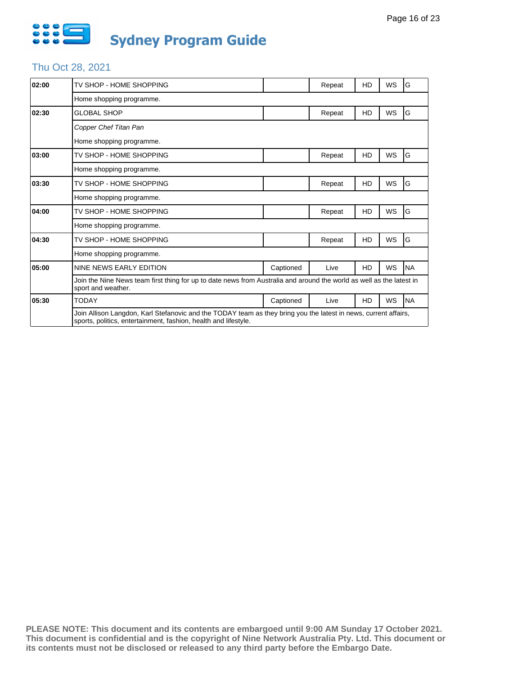

# Thu Oct 28, 2021

| 02:00 | TV SHOP - HOME SHOPPING                                                                                                                                                            |           | Repeat | HD | WS        | G         |
|-------|------------------------------------------------------------------------------------------------------------------------------------------------------------------------------------|-----------|--------|----|-----------|-----------|
|       | Home shopping programme.                                                                                                                                                           |           |        |    |           |           |
| 02:30 | <b>GLOBAL SHOP</b>                                                                                                                                                                 |           | Repeat | HD | WS        | G         |
|       | Copper Chef Titan Pan                                                                                                                                                              |           |        |    |           |           |
|       | Home shopping programme.                                                                                                                                                           |           |        |    |           |           |
| 03:00 | TV SHOP - HOME SHOPPING                                                                                                                                                            |           | Repeat | HD | <b>WS</b> | G         |
|       | Home shopping programme.                                                                                                                                                           |           |        |    |           |           |
| 03:30 | TV SHOP - HOME SHOPPING                                                                                                                                                            |           | Repeat | HD | WS        | G         |
|       | Home shopping programme.                                                                                                                                                           |           |        |    |           |           |
| 04:00 | TV SHOP - HOME SHOPPING                                                                                                                                                            |           | Repeat | HD | <b>WS</b> | G         |
|       | Home shopping programme.                                                                                                                                                           |           |        |    |           |           |
| 04:30 | TV SHOP - HOME SHOPPING                                                                                                                                                            |           | Repeat | HD | <b>WS</b> | G         |
|       | Home shopping programme.                                                                                                                                                           |           |        |    |           |           |
| 05:00 | NINE NEWS EARLY EDITION                                                                                                                                                            | Captioned | Live   | HD | WS        | <b>NA</b> |
|       | Join the Nine News team first thing for up to date news from Australia and around the world as well as the latest in<br>sport and weather.                                         |           |        |    |           |           |
| 05:30 | <b>TODAY</b>                                                                                                                                                                       | Captioned | Live   | HD | WS        | <b>NA</b> |
|       | Join Allison Langdon, Karl Stefanovic and the TODAY team as they bring you the latest in news, current affairs,<br>sports, politics, entertainment, fashion, health and lifestyle. |           |        |    |           |           |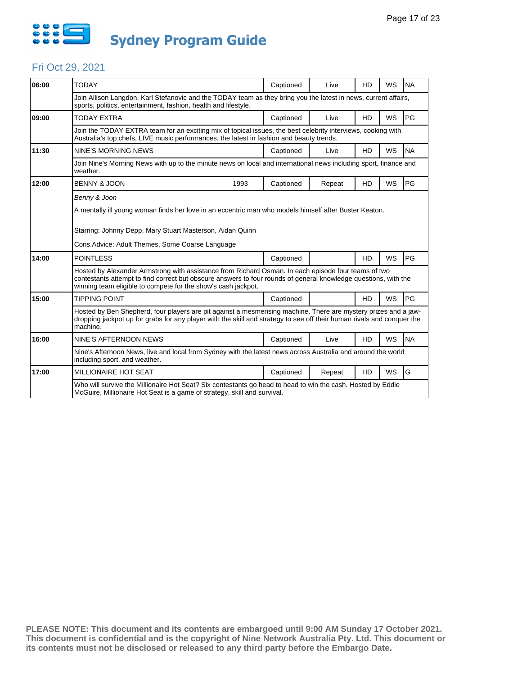

#### Fri Oct 29, 2021

| 06:00 | <b>TODAY</b>                                                                                                                                                                                                                                                                            | Captioned | Live   | HD             | <b>WS</b> | <b>NA</b> |  |
|-------|-----------------------------------------------------------------------------------------------------------------------------------------------------------------------------------------------------------------------------------------------------------------------------------------|-----------|--------|----------------|-----------|-----------|--|
|       | Join Allison Langdon, Karl Stefanovic and the TODAY team as they bring you the latest in news, current affairs,<br>sports, politics, entertainment, fashion, health and lifestyle.                                                                                                      |           |        |                |           |           |  |
| 09:00 | <b>TODAY EXTRA</b>                                                                                                                                                                                                                                                                      | Captioned | Live   | HD             | WS        | PG        |  |
|       | Join the TODAY EXTRA team for an exciting mix of topical issues, the best celebrity interviews, cooking with<br>Australia's top chefs, LIVE music performances, the latest in fashion and beauty trends.                                                                                |           |        |                |           |           |  |
| 11:30 | NINE'S MORNING NEWS                                                                                                                                                                                                                                                                     | Captioned | Live   | H <sub>D</sub> | <b>WS</b> | <b>NA</b> |  |
|       | Join Nine's Morning News with up to the minute news on local and international news including sport, finance and<br>weather.                                                                                                                                                            |           |        |                |           |           |  |
| 12:00 | <b>BENNY &amp; JOON</b><br>1993                                                                                                                                                                                                                                                         | Captioned | Repeat | <b>HD</b>      | <b>WS</b> | PG        |  |
|       | Starring: Johnny Depp, Mary Stuart Masterson, Aidan Quinn<br>Cons. Advice: Adult Themes, Some Coarse Language                                                                                                                                                                           |           |        |                |           |           |  |
| 14:00 | <b>POINTLESS</b>                                                                                                                                                                                                                                                                        | Captioned |        | <b>HD</b>      | <b>WS</b> | PG        |  |
|       | Hosted by Alexander Armstrong with assistance from Richard Osman. In each episode four teams of two<br>contestants attempt to find correct but obscure answers to four rounds of general knowledge questions, with the<br>winning team eligible to compete for the show's cash jackpot. |           |        |                |           |           |  |
| 15:00 | <b>TIPPING POINT</b>                                                                                                                                                                                                                                                                    | Captioned |        | <b>HD</b>      | <b>WS</b> | PG        |  |
|       | Hosted by Ben Shepherd, four players are pit against a mesmerising machine. There are mystery prizes and a jaw-<br>dropping jackpot up for grabs for any player with the skill and strategy to see off their human rivals and conguer the<br>machine.                                   |           |        |                |           |           |  |
| 16:00 | NINE'S AFTERNOON NEWS                                                                                                                                                                                                                                                                   | Captioned | Live   | H <sub>D</sub> | <b>WS</b> | <b>NA</b> |  |
|       | Nine's Afternoon News, live and local from Sydney with the latest news across Australia and around the world<br>including sport, and weather.                                                                                                                                           |           |        |                |           |           |  |
| 17:00 | <b>MILLIONAIRE HOT SEAT</b>                                                                                                                                                                                                                                                             | Captioned | Repeat | HD             | <b>WS</b> | G         |  |
|       | Who will survive the Millionaire Hot Seat? Six contestants go head to head to win the cash. Hosted by Eddie<br>McGuire, Millionaire Hot Seat is a game of strategy, skill and survival.                                                                                                 |           |        |                |           |           |  |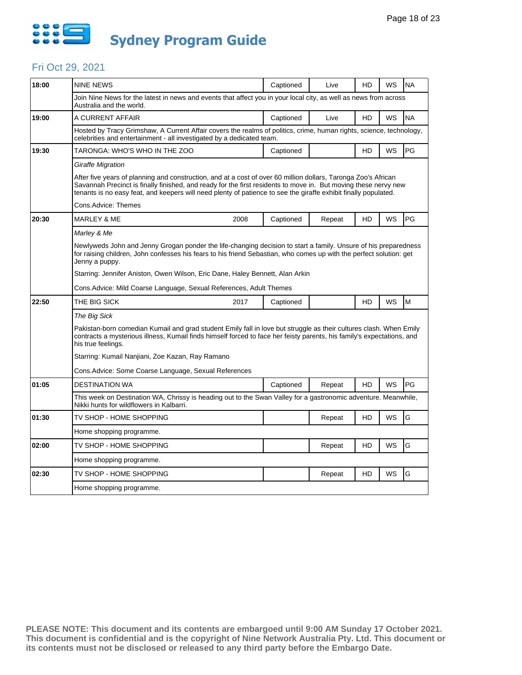

#### Fri Oct 29, 2021

| 18:00 | <b>NINE NEWS</b>                                                                                                                                                                                                                                                                                                                                     | Captioned | Live   | HD        | WS | <b>NA</b> |  |  |
|-------|------------------------------------------------------------------------------------------------------------------------------------------------------------------------------------------------------------------------------------------------------------------------------------------------------------------------------------------------------|-----------|--------|-----------|----|-----------|--|--|
|       | Join Nine News for the latest in news and events that affect you in your local city, as well as news from across<br>Australia and the world.                                                                                                                                                                                                         |           |        |           |    |           |  |  |
| 19:00 | A CURRENT AFFAIR                                                                                                                                                                                                                                                                                                                                     | Captioned | Live   | HD        | WS | <b>NA</b> |  |  |
|       | Hosted by Tracy Grimshaw, A Current Affair covers the realms of politics, crime, human rights, science, technology,<br>celebrities and entertainment - all investigated by a dedicated team.                                                                                                                                                         |           |        |           |    |           |  |  |
| 19:30 | TARONGA: WHO'S WHO IN THE ZOO                                                                                                                                                                                                                                                                                                                        | Captioned |        | HD        | WS | PG        |  |  |
|       | Giraffe Migration                                                                                                                                                                                                                                                                                                                                    |           |        |           |    |           |  |  |
|       | After five years of planning and construction, and at a cost of over 60 million dollars, Taronga Zoo's African<br>Savannah Precinct is finally finished, and ready for the first residents to move in. But moving these nervy new<br>tenants is no easy feat, and keepers will need plenty of patience to see the giraffe exhibit finally populated. |           |        |           |    |           |  |  |
|       | Cons.Advice: Themes                                                                                                                                                                                                                                                                                                                                  |           |        |           |    |           |  |  |
| 20:30 | 2008<br>MARLEY & ME                                                                                                                                                                                                                                                                                                                                  | Captioned | Repeat | HD        | WS | PG        |  |  |
|       | Marley & Me                                                                                                                                                                                                                                                                                                                                          |           |        |           |    |           |  |  |
|       | Newlyweds John and Jenny Grogan ponder the life-changing decision to start a family. Unsure of his preparedness<br>for raising children, John confesses his fears to his friend Sebastian, who comes up with the perfect solution: get<br>Jenny a puppy.                                                                                             |           |        |           |    |           |  |  |
|       | Starring: Jennifer Aniston, Owen Wilson, Eric Dane, Haley Bennett, Alan Arkin                                                                                                                                                                                                                                                                        |           |        |           |    |           |  |  |
|       | Cons.Advice: Mild Coarse Language, Sexual References, Adult Themes                                                                                                                                                                                                                                                                                   |           |        |           |    |           |  |  |
| 22:50 | THE BIG SICK<br>2017                                                                                                                                                                                                                                                                                                                                 | Captioned |        | HD        | WS | M         |  |  |
|       | The Big Sick                                                                                                                                                                                                                                                                                                                                         |           |        |           |    |           |  |  |
|       | Pakistan-born comedian Kumail and grad student Emily fall in love but struggle as their cultures clash. When Emily<br>contracts a mysterious illness, Kumail finds himself forced to face her feisty parents, his family's expectations, and<br>his true feelings.                                                                                   |           |        |           |    |           |  |  |
|       | Starring: Kumail Nanjiani, Zoe Kazan, Ray Ramano                                                                                                                                                                                                                                                                                                     |           |        |           |    |           |  |  |
|       | Cons. Advice: Some Coarse Language, Sexual References                                                                                                                                                                                                                                                                                                |           |        |           |    |           |  |  |
| 01:05 | <b>DESTINATION WA</b>                                                                                                                                                                                                                                                                                                                                | Captioned | Repeat | <b>HD</b> | WS | PG        |  |  |
|       | This week on Destination WA, Chrissy is heading out to the Swan Valley for a gastronomic adventure. Meanwhile,<br>Nikki hunts for wildflowers in Kalbarri.                                                                                                                                                                                           |           |        |           |    |           |  |  |
| 01:30 | TV SHOP - HOME SHOPPING                                                                                                                                                                                                                                                                                                                              |           | Repeat | HD        | WS | G         |  |  |
|       | Home shopping programme.                                                                                                                                                                                                                                                                                                                             |           |        |           |    |           |  |  |
| 02:00 | TV SHOP - HOME SHOPPING                                                                                                                                                                                                                                                                                                                              |           | Repeat | HD        | WS | G         |  |  |
|       | Home shopping programme.                                                                                                                                                                                                                                                                                                                             |           |        |           |    |           |  |  |
| 02:30 | TV SHOP - HOME SHOPPING                                                                                                                                                                                                                                                                                                                              |           | Repeat | HD        | WS | G         |  |  |
|       | Home shopping programme.                                                                                                                                                                                                                                                                                                                             |           |        |           |    |           |  |  |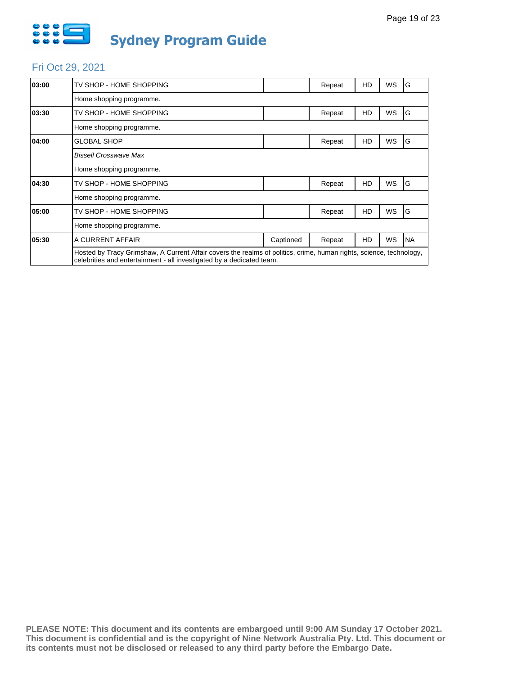

#### Fri Oct 29, 2021

| 03:00 | TV SHOP - HOME SHOPPING                                                                                                                                                                      |           | Repeat | HD        | WS        | G         |
|-------|----------------------------------------------------------------------------------------------------------------------------------------------------------------------------------------------|-----------|--------|-----------|-----------|-----------|
|       | Home shopping programme.                                                                                                                                                                     |           |        |           |           |           |
| 03:30 | TV SHOP - HOME SHOPPING                                                                                                                                                                      |           | Repeat | HD        | WS        | G         |
|       | Home shopping programme.                                                                                                                                                                     |           |        |           |           |           |
| 04:00 | <b>GLOBAL SHOP</b>                                                                                                                                                                           |           | Repeat | HD        | WS        | G         |
|       | <b>Bissell Crosswave Max</b>                                                                                                                                                                 |           |        |           |           |           |
|       | Home shopping programme.                                                                                                                                                                     |           |        |           |           |           |
| 04:30 | TV SHOP - HOME SHOPPING                                                                                                                                                                      |           | Repeat | HD        | WS        | G         |
|       | Home shopping programme.                                                                                                                                                                     |           |        |           |           |           |
| 05:00 | TV SHOP - HOME SHOPPING                                                                                                                                                                      |           | Repeat | <b>HD</b> | <b>WS</b> | G         |
|       | Home shopping programme.                                                                                                                                                                     |           |        |           |           |           |
| 05:30 | A CURRENT AFFAIR                                                                                                                                                                             | Captioned | Repeat | HD        | WS        | <b>NA</b> |
|       | Hosted by Tracy Grimshaw, A Current Affair covers the realms of politics, crime, human rights, science, technology,<br>celebrities and entertainment - all investigated by a dedicated team. |           |        |           |           |           |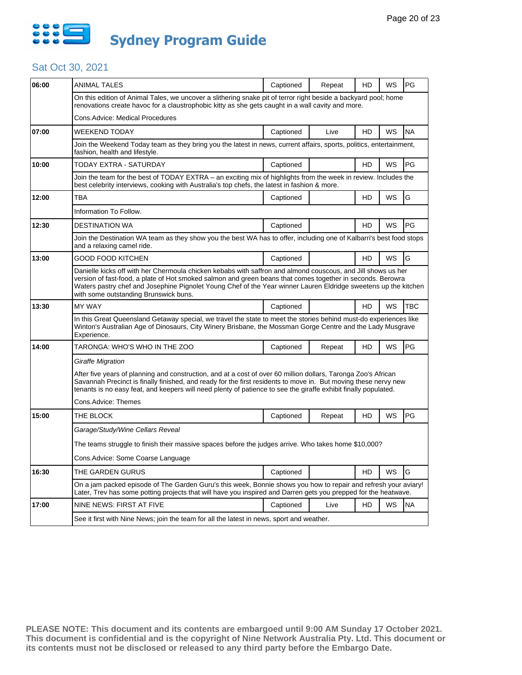

| 06:00 | <b>ANIMAL TALES</b>                                                                                                                                                                                                                                                                                                                                                                    | Captioned | Repeat | HD | WS        | PG         |  |  |
|-------|----------------------------------------------------------------------------------------------------------------------------------------------------------------------------------------------------------------------------------------------------------------------------------------------------------------------------------------------------------------------------------------|-----------|--------|----|-----------|------------|--|--|
|       | On this edition of Animal Tales, we uncover a slithering snake pit of terror right beside a backyard pool; home<br>renovations create havoc for a claustrophobic kitty as she gets caught in a wall cavity and more.                                                                                                                                                                   |           |        |    |           |            |  |  |
|       | Cons.Advice: Medical Procedures                                                                                                                                                                                                                                                                                                                                                        |           |        |    |           |            |  |  |
| 07:00 | WEEKEND TODAY                                                                                                                                                                                                                                                                                                                                                                          | Captioned | Live   | HD | WS        | <b>NA</b>  |  |  |
|       | Join the Weekend Today team as they bring you the latest in news, current affairs, sports, politics, entertainment,<br>fashion, health and lifestyle.                                                                                                                                                                                                                                  |           |        |    |           |            |  |  |
| 10:00 | TODAY EXTRA - SATURDAY                                                                                                                                                                                                                                                                                                                                                                 | Captioned |        | HD | WS        | PG         |  |  |
|       | Join the team for the best of TODAY EXTRA - an exciting mix of highlights from the week in review. Includes the<br>best celebrity interviews, cooking with Australia's top chefs, the latest in fashion & more.                                                                                                                                                                        |           |        |    |           |            |  |  |
| 12:00 | TBA                                                                                                                                                                                                                                                                                                                                                                                    | Captioned |        | HD | WS        | G          |  |  |
|       | Information To Follow.                                                                                                                                                                                                                                                                                                                                                                 |           |        |    |           |            |  |  |
| 12:30 | <b>DESTINATION WA</b>                                                                                                                                                                                                                                                                                                                                                                  | Captioned |        | HD | WS        | <b>PG</b>  |  |  |
|       | Join the Destination WA team as they show you the best WA has to offer, including one of Kalbarri's best food stops<br>and a relaxing camel ride.                                                                                                                                                                                                                                      |           |        |    |           |            |  |  |
| 13:00 | GOOD FOOD KITCHEN                                                                                                                                                                                                                                                                                                                                                                      | Captioned |        | HD | <b>WS</b> | G          |  |  |
|       | Danielle kicks off with her Chermoula chicken kebabs with saffron and almond couscous, and Jill shows us her<br>version of fast-food, a plate of Hot smoked salmon and green beans that comes together in seconds. Berowra<br>Waters pastry chef and Josephine Pignolet Young Chef of the Year winner Lauren Eldridge sweetens up the kitchen<br>with some outstanding Brunswick buns. |           |        |    |           |            |  |  |
| 13:30 | <b>MY WAY</b>                                                                                                                                                                                                                                                                                                                                                                          | Captioned |        | HD | WS        | <b>TBC</b> |  |  |
|       | In this Great Queensland Getaway special, we travel the state to meet the stories behind must-do experiences like<br>Winton's Australian Age of Dinosaurs, City Winery Brisbane, the Mossman Gorge Centre and the Lady Musgrave<br>Experience.                                                                                                                                         |           |        |    |           |            |  |  |
| 14:00 | TARONGA: WHO'S WHO IN THE ZOO                                                                                                                                                                                                                                                                                                                                                          | Captioned | Repeat | HD | WS        | <b>PG</b>  |  |  |
|       | Giraffe Migration                                                                                                                                                                                                                                                                                                                                                                      |           |        |    |           |            |  |  |
|       | After five years of planning and construction, and at a cost of over 60 million dollars, Taronga Zoo's African<br>Savannah Precinct is finally finished, and ready for the first residents to move in. But moving these nervy new<br>tenants is no easy feat, and keepers will need plenty of patience to see the giraffe exhibit finally populated.                                   |           |        |    |           |            |  |  |
|       | Cons.Advice: Themes                                                                                                                                                                                                                                                                                                                                                                    |           |        |    |           |            |  |  |
| 15:00 | THE BLOCK                                                                                                                                                                                                                                                                                                                                                                              | Captioned | Repeat | HD | WS        | PG         |  |  |
|       | Garage/Study/Wine Cellars Reveal                                                                                                                                                                                                                                                                                                                                                       |           |        |    |           |            |  |  |
|       | 10,000? The teams struggle to finish their massive spaces before the judges arrive. Who takes home \$10,000                                                                                                                                                                                                                                                                            |           |        |    |           |            |  |  |
|       | Cons.Advice: Some Coarse Language                                                                                                                                                                                                                                                                                                                                                      |           |        |    |           |            |  |  |
| 16:30 | THE GARDEN GURUS                                                                                                                                                                                                                                                                                                                                                                       | Captioned |        | HD | WS        | G          |  |  |
|       | On a jam packed episode of The Garden Guru's this week, Bonnie shows you how to repair and refresh your aviary!<br>Later, Trev has some potting projects that will have you inspired and Darren gets you prepped for the heatwave.                                                                                                                                                     |           |        |    |           |            |  |  |
| 17:00 | NINE NEWS: FIRST AT FIVE                                                                                                                                                                                                                                                                                                                                                               | Captioned | Live   | HD | WS        | <b>NA</b>  |  |  |
|       | See it first with Nine News; join the team for all the latest in news, sport and weather.                                                                                                                                                                                                                                                                                              |           |        |    |           |            |  |  |
|       |                                                                                                                                                                                                                                                                                                                                                                                        |           |        |    |           |            |  |  |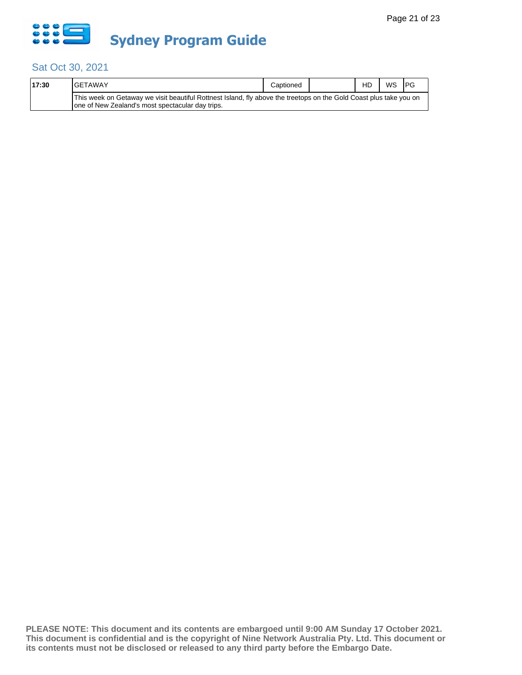

| 17:30 | <b>IGETAWAY</b>                                                                                                                                                         | Captioned | HD | WS | <b>IPG</b> |
|-------|-------------------------------------------------------------------------------------------------------------------------------------------------------------------------|-----------|----|----|------------|
|       | This week on Getaway we visit beautiful Rottnest Island, fly above the treetops on the Gold Coast plus take you on<br>Tone of New Zealand's most spectacular day trips. |           |    |    |            |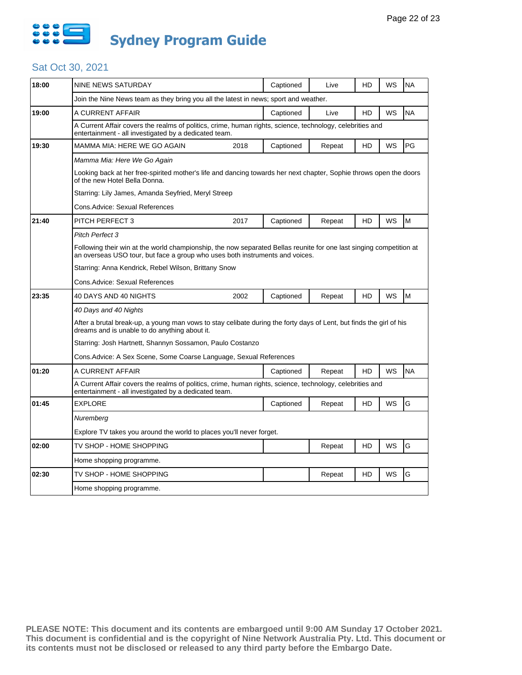

| 18:00 | <b>NINE NEWS SATURDAY</b>                                                                                                                                                                           |      | Captioned | Live   | HD | WS        | <b>NA</b> |  |
|-------|-----------------------------------------------------------------------------------------------------------------------------------------------------------------------------------------------------|------|-----------|--------|----|-----------|-----------|--|
|       | Join the Nine News team as they bring you all the latest in news; sport and weather.                                                                                                                |      |           |        |    |           |           |  |
| 19:00 | A CURRENT AFFAIR                                                                                                                                                                                    |      | Captioned | Live   | HD | <b>WS</b> | <b>NA</b> |  |
|       | A Current Affair covers the realms of politics, crime, human rights, science, technology, celebrities and<br>entertainment - all investigated by a dedicated team.                                  |      |           |        |    |           |           |  |
| 19:30 | MAMMA MIA: HERE WE GO AGAIN                                                                                                                                                                         | 2018 | Captioned | Repeat | HD | <b>WS</b> | PG        |  |
|       | Mamma Mia: Here We Go Again                                                                                                                                                                         |      |           |        |    |           |           |  |
|       | Looking back at her free-spirited mother's life and dancing towards her next chapter, Sophie throws open the doors<br>of the new Hotel Bella Donna.                                                 |      |           |        |    |           |           |  |
|       | Starring: Lily James, Amanda Seyfried, Meryl Streep                                                                                                                                                 |      |           |        |    |           |           |  |
|       | Cons.Advice: Sexual References                                                                                                                                                                      |      |           |        |    |           |           |  |
| 21:40 | <b>PITCH PERFECT 3</b>                                                                                                                                                                              | 2017 | Captioned | Repeat | HD | WS        | M         |  |
|       | Pitch Perfect 3                                                                                                                                                                                     |      |           |        |    |           |           |  |
|       | Following their win at the world championship, the now separated Bellas reunite for one last singing competition at<br>an overseas USO tour, but face a group who uses both instruments and voices. |      |           |        |    |           |           |  |
|       | Starring: Anna Kendrick, Rebel Wilson, Brittany Snow                                                                                                                                                |      |           |        |    |           |           |  |
|       | Cons.Advice: Sexual References                                                                                                                                                                      |      |           |        |    |           |           |  |
| 23:35 | 40 DAYS AND 40 NIGHTS                                                                                                                                                                               | 2002 | Captioned | Repeat | HD | WS        | M         |  |
|       | 40 Days and 40 Nights                                                                                                                                                                               |      |           |        |    |           |           |  |
|       | After a brutal break-up, a young man vows to stay celibate during the forty days of Lent, but finds the girl of his<br>dreams and is unable to do anything about it.                                |      |           |        |    |           |           |  |
|       | Starring: Josh Hartnett, Shannyn Sossamon, Paulo Costanzo                                                                                                                                           |      |           |        |    |           |           |  |
|       | Cons.Advice: A Sex Scene, Some Coarse Language, Sexual References                                                                                                                                   |      |           |        |    |           |           |  |
| 01:20 | A CURRENT AFFAIR                                                                                                                                                                                    |      | Captioned | Repeat | HD | <b>WS</b> | <b>NA</b> |  |
|       | A Current Affair covers the realms of politics, crime, human rights, science, technology, celebrities and<br>entertainment - all investigated by a dedicated team.                                  |      |           |        |    |           |           |  |
| 01:45 | <b>EXPLORE</b>                                                                                                                                                                                      |      | Captioned | Repeat | HD | <b>WS</b> | G         |  |
|       | Nuremberg                                                                                                                                                                                           |      |           |        |    |           |           |  |
|       |                                                                                                                                                                                                     |      |           |        |    |           |           |  |
|       | Explore TV takes you around the world to places you'll never forget.                                                                                                                                |      |           |        |    |           |           |  |
| 02:00 | TV SHOP - HOME SHOPPING                                                                                                                                                                             |      |           | Repeat | HD | WS        | G         |  |
|       | Home shopping programme.                                                                                                                                                                            |      |           |        |    |           |           |  |
| 02:30 | TV SHOP - HOME SHOPPING                                                                                                                                                                             |      |           | Repeat | HD | WS        | G         |  |